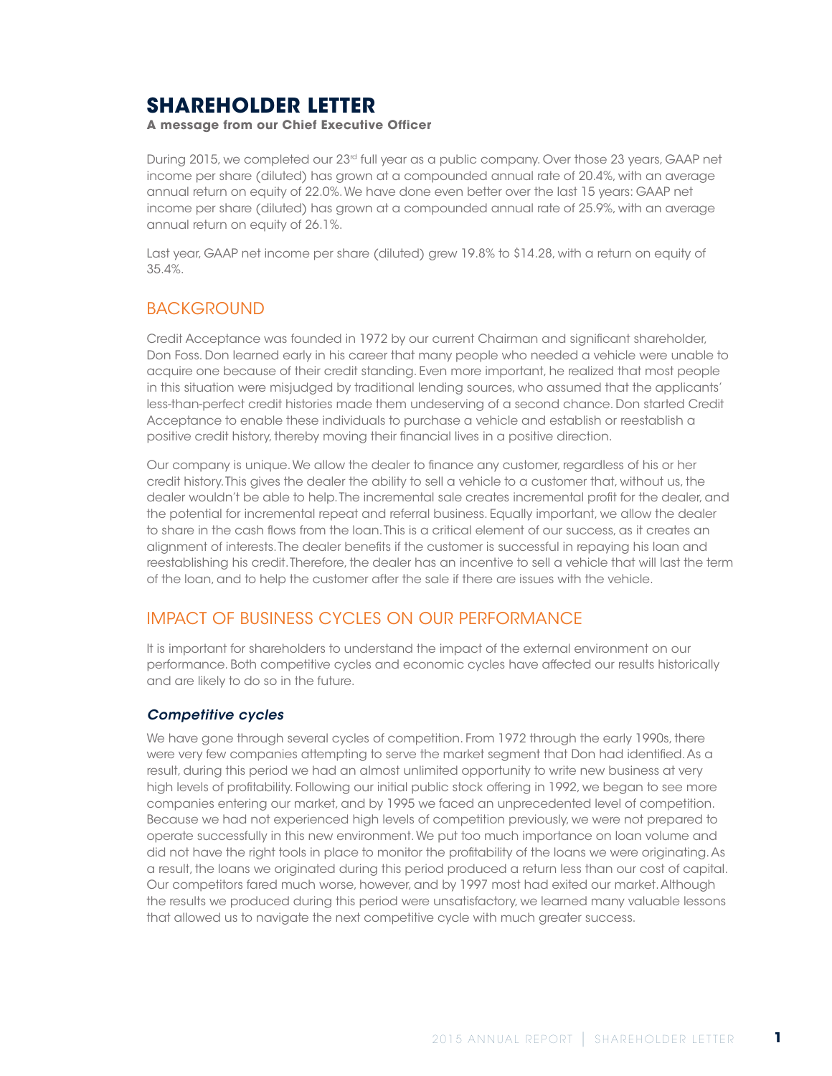# **SHAREHOLDER LETTER**

**A message from our Chief Executive Officer**

During 2015, we completed our 23rd full year as a public company. Over those 23 years, GAAP net income per share (diluted) has grown at a compounded annual rate of 20.4%, with an average annual return on equity of 22.0%. We have done even better over the last 15 years: GAAP net income per share (diluted) has grown at a compounded annual rate of 25.9%, with an average annual return on equity of 26.1%.

Last year, GAAP net income per share (diluted) grew 19.8% to \$14.28, with a return on equity of 35.4%.

## **BACKGROUND**

Credit Acceptance was founded in 1972 by our current Chairman and significant shareholder, Don Foss. Don learned early in his career that many people who needed a vehicle were unable to acquire one because of their credit standing. Even more important, he realized that most people in this situation were misjudged by traditional lending sources, who assumed that the applicants' less-than-perfect credit histories made them undeserving of a second chance. Don started Credit Acceptance to enable these individuals to purchase a vehicle and establish or reestablish a positive credit history, thereby moving their financial lives in a positive direction.

Our company is unique. We allow the dealer to finance any customer, regardless of his or her credit history. This gives the dealer the ability to sell a vehicle to a customer that, without us, the dealer wouldn't be able to help. The incremental sale creates incremental profit for the dealer, and the potential for incremental repeat and referral business. Equally important, we allow the dealer to share in the cash flows from the loan. This is a critical element of our success, as it creates an alignment of interests. The dealer benefits if the customer is successful in repaying his loan and reestablishing his credit. Therefore, the dealer has an incentive to sell a vehicle that will last the term of the loan, and to help the customer after the sale if there are issues with the vehicle.

### IMPACT OF BUSINESS CYCLES ON OUR PERFORMANCE

It is important for shareholders to understand the impact of the external environment on our performance. Both competitive cycles and economic cycles have affected our results historically and are likely to do so in the future.

#### *Competitive cycles*

We have gone through several cycles of competition. From 1972 through the early 1990s, there were very few companies attempting to serve the market segment that Don had identified. As a result, during this period we had an almost unlimited opportunity to write new business at very high levels of profitability. Following our initial public stock offering in 1992, we began to see more companies entering our market, and by 1995 we faced an unprecedented level of competition. Because we had not experienced high levels of competition previously, we were not prepared to operate successfully in this new environment. We put too much importance on loan volume and did not have the right tools in place to monitor the profitability of the loans we were originating. As a result, the loans we originated during this period produced a return less than our cost of capital. Our competitors fared much worse, however, and by 1997 most had exited our market. Although the results we produced during this period were unsatisfactory, we learned many valuable lessons that allowed us to navigate the next competitive cycle with much greater success.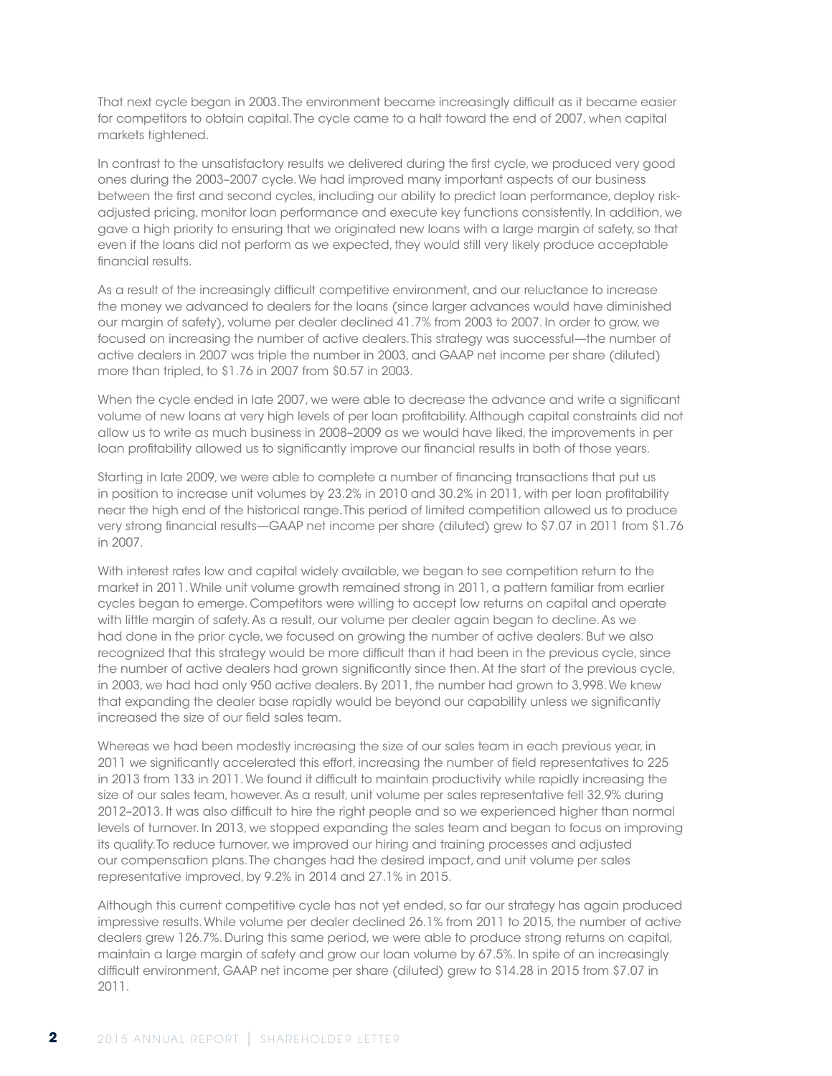That next cycle began in 2003. The environment became increasingly difficult as it became easier for competitors to obtain capital. The cycle came to a halt toward the end of 2007, when capital markets tightened.

In contrast to the unsatisfactory results we delivered during the first cycle, we produced very good ones during the 2003–2007 cycle. We had improved many important aspects of our business between the first and second cycles, including our ability to predict loan performance, deploy riskadjusted pricing, monitor loan performance and execute key functions consistently. In addition, we gave a high priority to ensuring that we originated new loans with a large margin of safety, so that even if the loans did not perform as we expected, they would still very likely produce acceptable financial results.

As a result of the increasingly difficult competitive environment, and our reluctance to increase the money we advanced to dealers for the loans (since larger advances would have diminished our margin of safety), volume per dealer declined 41.7% from 2003 to 2007. In order to grow, we focused on increasing the number of active dealers. This strategy was successful—the number of active dealers in 2007 was triple the number in 2003, and GAAP net income per share (diluted) more than tripled, to \$1.76 in 2007 from \$0.57 in 2003.

When the cycle ended in late 2007, we were able to decrease the advance and write a significant volume of new loans at very high levels of per loan profitability. Although capital constraints did not allow us to write as much business in 2008–2009 as we would have liked, the improvements in per loan profitability allowed us to significantly improve our financial results in both of those years.

Starting in late 2009, we were able to complete a number of financing transactions that put us in position to increase unit volumes by 23.2% in 2010 and 30.2% in 2011, with per loan profitability near the high end of the historical range. This period of limited competition allowed us to produce very strong financial results—GAAP net income per share (diluted) grew to \$7.07 in 2011 from \$1.76 in 2007.

With interest rates low and capital widely available, we began to see competition return to the market in 2011. While unit volume growth remained strong in 2011, a pattern familiar from earlier cycles began to emerge. Competitors were willing to accept low returns on capital and operate with little margin of safety. As a result, our volume per dealer again began to decline. As we had done in the prior cycle, we focused on growing the number of active dealers. But we also recognized that this strategy would be more difficult than it had been in the previous cycle, since the number of active dealers had grown significantly since then. At the start of the previous cycle, in 2003, we had had only 950 active dealers. By 2011, the number had grown to 3,998. We knew that expanding the dealer base rapidly would be beyond our capability unless we significantly increased the size of our field sales team.

Whereas we had been modestly increasing the size of our sales team in each previous year, in 2011 we significantly accelerated this effort, increasing the number of field representatives to 225 in 2013 from 133 in 2011. We found it difficult to maintain productivity while rapidly increasing the size of our sales team, however. As a result, unit volume per sales representative fell 32.9% during 2012–2013. It was also difficult to hire the right people and so we experienced higher than normal levels of turnover. In 2013, we stopped expanding the sales team and began to focus on improving its quality. To reduce turnover, we improved our hiring and training processes and adjusted our compensation plans. The changes had the desired impact, and unit volume per sales representative improved, by 9.2% in 2014 and 27.1% in 2015.

Although this current competitive cycle has not yet ended, so far our strategy has again produced impressive results. While volume per dealer declined 26.1% from 2011 to 2015, the number of active dealers grew 126.7%. During this same period, we were able to produce strong returns on capital, maintain a large margin of safety and grow our loan volume by 67.5%. In spite of an increasingly difficult environment, GAAP net income per share (diluted) grew to \$14.28 in 2015 from \$7.07 in 2011.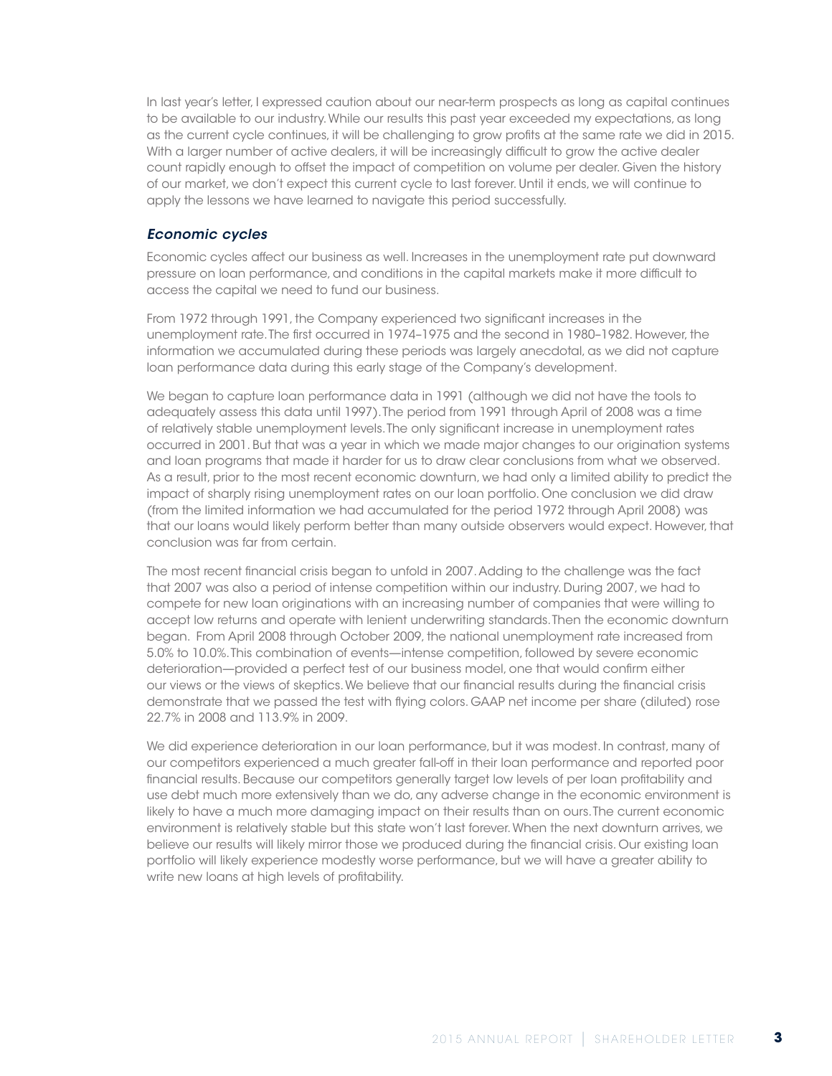In last year's letter, I expressed caution about our near-term prospects as long as capital continues to be available to our industry. While our results this past year exceeded my expectations, as long as the current cycle continues, it will be challenging to grow profits at the same rate we did in 2015. With a larger number of active dealers, it will be increasingly difficult to grow the active dealer count rapidly enough to offset the impact of competition on volume per dealer. Given the history of our market, we don't expect this current cycle to last forever. Until it ends, we will continue to apply the lessons we have learned to navigate this period successfully.

#### *Economic cycles*

Economic cycles affect our business as well. Increases in the unemployment rate put downward pressure on loan performance, and conditions in the capital markets make it more difficult to access the capital we need to fund our business.

From 1972 through 1991, the Company experienced two significant increases in the unemployment rate. The first occurred in 1974–1975 and the second in 1980–1982. However, the information we accumulated during these periods was largely anecdotal, as we did not capture loan performance data during this early stage of the Company's development.

We began to capture loan performance data in 1991 (although we did not have the tools to adequately assess this data until 1997). The period from 1991 through April of 2008 was a time of relatively stable unemployment levels. The only significant increase in unemployment rates occurred in 2001. But that was a year in which we made major changes to our origination systems and loan programs that made it harder for us to draw clear conclusions from what we observed. As a result, prior to the most recent economic downturn, we had only a limited ability to predict the impact of sharply rising unemployment rates on our loan portfolio. One conclusion we did draw (from the limited information we had accumulated for the period 1972 through April 2008) was that our loans would likely perform better than many outside observers would expect. However, that conclusion was far from certain.

The most recent financial crisis began to unfold in 2007. Adding to the challenge was the fact that 2007 was also a period of intense competition within our industry. During 2007, we had to compete for new loan originations with an increasing number of companies that were willing to accept low returns and operate with lenient underwriting standards. Then the economic downturn began. From April 2008 through October 2009, the national unemployment rate increased from 5.0% to 10.0%. This combination of events—intense competition, followed by severe economic deterioration—provided a perfect test of our business model, one that would confirm either our views or the views of skeptics. We believe that our financial results during the financial crisis demonstrate that we passed the test with flying colors. GAAP net income per share (diluted) rose 22.7% in 2008 and 113.9% in 2009.

We did experience deterioration in our loan performance, but it was modest. In contrast, many of our competitors experienced a much greater fall-off in their loan performance and reported poor financial results. Because our competitors generally target low levels of per loan profitability and use debt much more extensively than we do, any adverse change in the economic environment is likely to have a much more damaging impact on their results than on ours. The current economic environment is relatively stable but this state won't last forever. When the next downturn arrives, we believe our results will likely mirror those we produced during the financial crisis. Our existing loan portfolio will likely experience modestly worse performance, but we will have a greater ability to write new loans at high levels of profitability.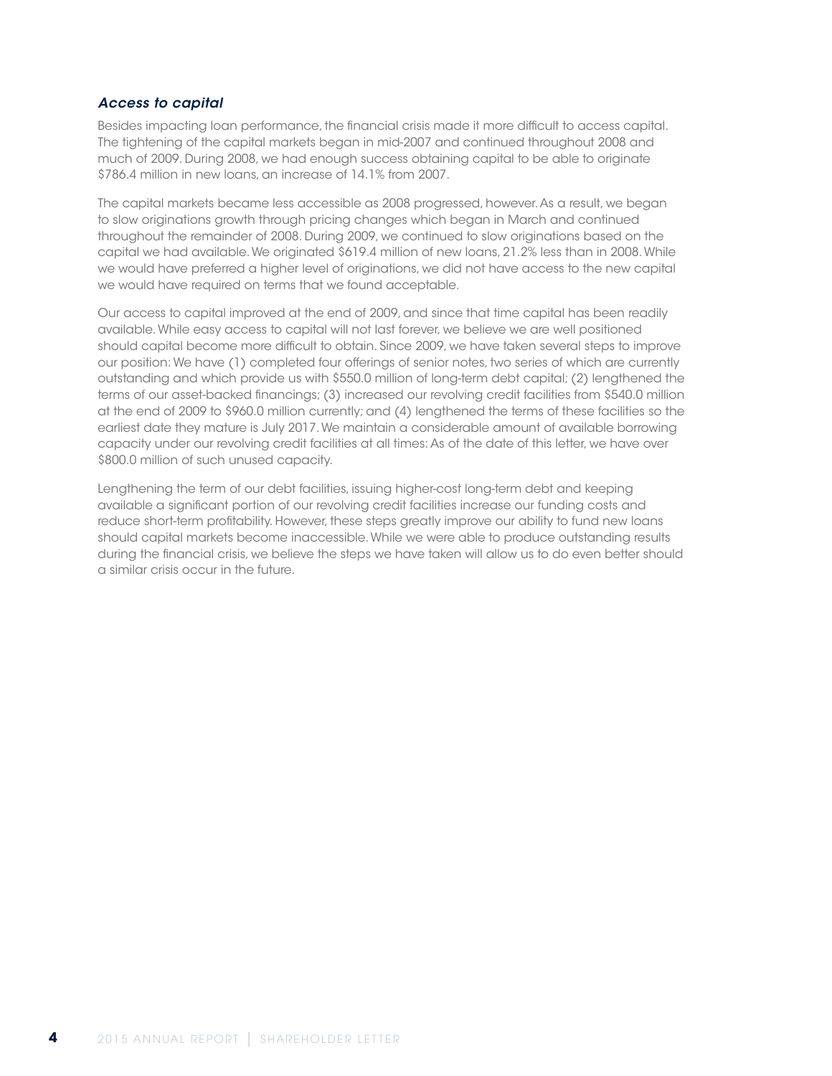#### *Access to capital*

Besides impacting loan performance, the financial crisis made it more difficult to access capital. The tightening of the capital markets began in mid-2007 and continued throughout 2008 and much of 2009. During 2008, we had enough success obtaining capital to be able to originate \$786.4 million in new loans, an increase of 14.1% from 2007.

The capital markets became less accessible as 2008 progressed, however. As a result, we began to slow originations growth through pricing changes which began in March and continued throughout the remainder of 2008. During 2009, we continued to slow originations based on the capital we had available. We originated \$619.4 million of new loans, 21.2% less than in 2008. While we would have preferred a higher level of originations, we did not have access to the new capital we would have required on terms that we found acceptable.

Our access to capital improved at the end of 2009, and since that time capital has been readily available. While easy access to capital will not last forever, we believe we are well positioned should capital become more difficult to obtain. Since 2009, we have taken several steps to improve our position: We have (1) completed four offerings of senior notes, two series of which are currently outstanding and which provide us with \$550.0 million of long-term debt capital; (2) lengthened the terms of our asset-backed financings; (3) increased our revolving credit facilities from \$540.0 million at the end of 2009 to \$960.0 million currently; and (4) lengthened the terms of these facilities so the earliest date they mature is July 2017. We maintain a considerable amount of available borrowing capacity under our revolving credit facilities at all times: As of the date of this letter, we have over \$800.0 million of such unused capacity.

Lengthening the term of our debt facilities, issuing higher-cost long-term debt and keeping available a significant portion of our revolving credit facilities increase our funding costs and reduce short-term profitability. However, these steps greatly improve our ability to fund new loans should capital markets become inaccessible. While we were able to produce outstanding results during the financial crisis, we believe the steps we have taken will allow us to do even better should a similar crisis occur in the future.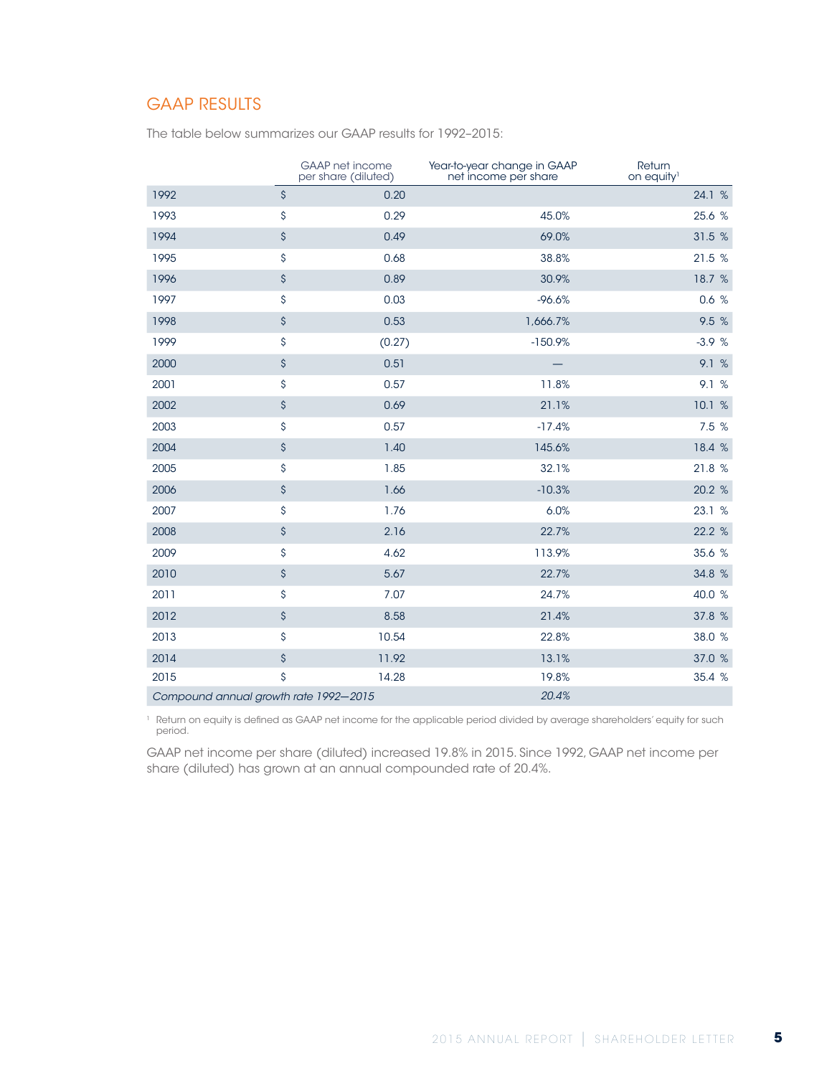### GAAP RESULTS

The table below summarizes our GAAP results for 1992–2015:

|                                       |                    | <b>GAAP</b> net income<br>per share (diluted) | Year-to-year change in GAAP<br>net income per share | Return<br>on equity <sup>1</sup> |
|---------------------------------------|--------------------|-----------------------------------------------|-----------------------------------------------------|----------------------------------|
| 1992                                  | $\mathsf{\hat{S}}$ | 0.20                                          |                                                     | 24.1 %                           |
| 1993                                  | \$                 | 0.29                                          | 45.0%                                               | 25.6 %                           |
| 1994                                  | \$                 | 0.49                                          | 69.0%                                               | 31.5 %                           |
| 1995                                  | \$                 | 0.68                                          | 38.8%                                               | 21.5 %                           |
| 1996                                  | \$                 | 0.89                                          | 30.9%                                               | 18.7 %                           |
| 1997                                  | \$                 | 0.03                                          | $-96.6%$                                            | 0.6%                             |
| 1998                                  | \$                 | 0.53                                          | 1,666.7%                                            | 9.5 %                            |
| 1999                                  | \$                 | (0.27)                                        | $-150.9%$                                           | $-3.9%$                          |
| 2000                                  | \$                 | 0.51                                          |                                                     | 9.1 %                            |
| 2001                                  | \$                 | 0.57                                          | 11.8%                                               | 9.1 %                            |
| 2002                                  | \$                 | 0.69                                          | 21.1%                                               | 10.1 %                           |
| 2003                                  | \$                 | 0.57                                          | $-17.4%$                                            | 7.5 %                            |
| 2004                                  | \$                 | 1.40                                          | 145.6%                                              | 18.4 %                           |
| 2005                                  | \$                 | 1.85                                          | 32.1%                                               | 21.8 %                           |
| 2006                                  | \$                 | 1.66                                          | $-10.3%$                                            | 20.2 %                           |
| 2007                                  | \$                 | 1.76                                          | 6.0%                                                | 23.1 %                           |
| 2008                                  | \$                 | 2.16                                          | 22.7%                                               | 22.2 %                           |
| 2009                                  | \$                 | 4.62                                          | 113.9%                                              | 35.6 %                           |
| 2010                                  | \$                 | 5.67                                          | 22.7%                                               | 34.8 %                           |
| 2011                                  | \$                 | 7.07                                          | 24.7%                                               | 40.0 %                           |
| 2012                                  | \$                 | 8.58                                          | 21.4%                                               | 37.8 %                           |
| 2013                                  | \$                 | 10.54                                         | 22.8%                                               | 38.0 %                           |
| 2014                                  | \$                 | 11.92                                         | 13.1%                                               | 37.0 %                           |
| 2015                                  | \$                 | 14.28                                         | 19.8%                                               | 35.4 %                           |
| Compound annual growth rate 1992-2015 |                    |                                               | 20.4%                                               |                                  |

 Return on equity is defined as GAAP net income for the applicable period divided by average shareholders' equity for such period.

GAAP net income per share (diluted) increased 19.8% in 2015. Since 1992, GAAP net income per share (diluted) has grown at an annual compounded rate of 20.4%.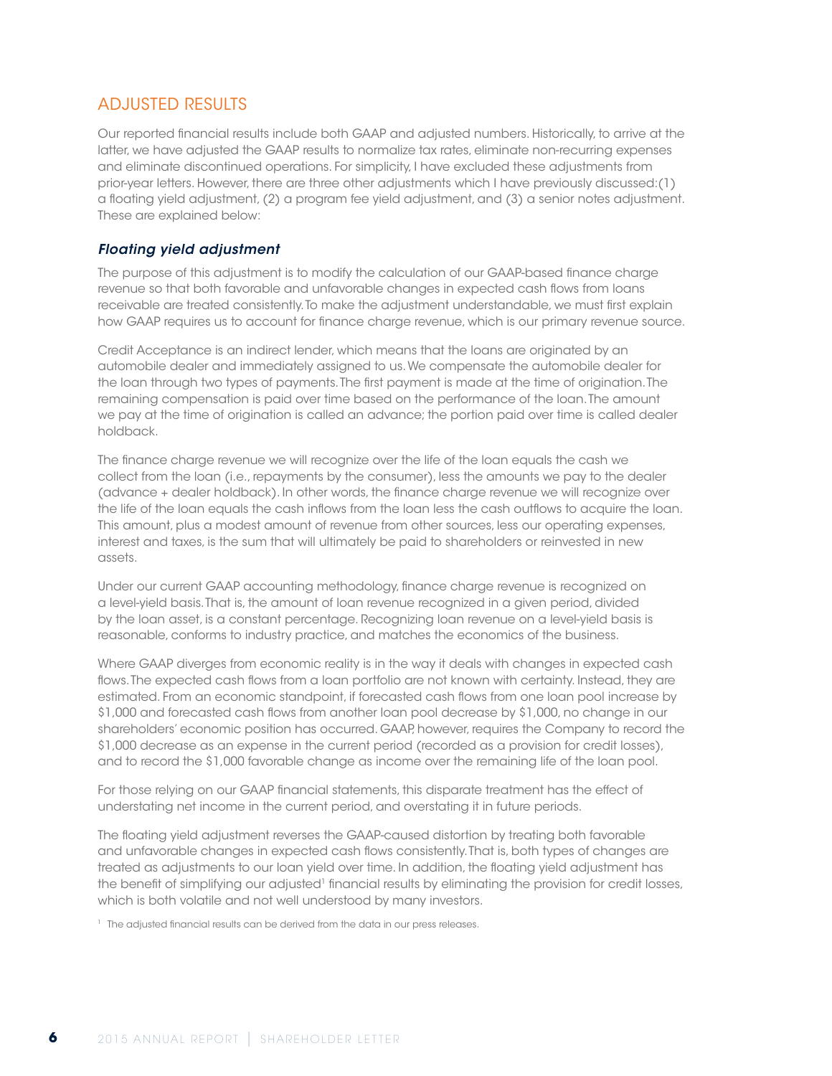### ADJUSTED RESULTS

Our reported financial results include both GAAP and adjusted numbers. Historically, to arrive at the latter, we have adjusted the GAAP results to normalize tax rates, eliminate non-recurring expenses and eliminate discontinued operations. For simplicity, I have excluded these adjustments from prior-year letters. However, there are three other adjustments which I have previously discussed:(1) a floating yield adjustment, (2) a program fee yield adjustment, and (3) a senior notes adjustment. These are explained below:

### *Floating yield adjustment*

The purpose of this adjustment is to modify the calculation of our GAAP-based finance charge revenue so that both favorable and unfavorable changes in expected cash flows from loans receivable are treated consistently. To make the adjustment understandable, we must first explain how GAAP requires us to account for finance charge revenue, which is our primary revenue source.

Credit Acceptance is an indirect lender, which means that the loans are originated by an automobile dealer and immediately assigned to us. We compensate the automobile dealer for the loan through two types of payments. The first payment is made at the time of origination. The remaining compensation is paid over time based on the performance of the loan. The amount we pay at the time of origination is called an advance; the portion paid over time is called dealer holdback.

The finance charge revenue we will recognize over the life of the loan equals the cash we collect from the loan (i.e., repayments by the consumer), less the amounts we pay to the dealer (advance + dealer holdback). In other words, the finance charge revenue we will recognize over the life of the loan equals the cash inflows from the loan less the cash outflows to acquire the loan. This amount, plus a modest amount of revenue from other sources, less our operating expenses, interest and taxes, is the sum that will ultimately be paid to shareholders or reinvested in new assets.

Under our current GAAP accounting methodology, finance charge revenue is recognized on a level-yield basis. That is, the amount of loan revenue recognized in a given period, divided by the loan asset, is a constant percentage. Recognizing loan revenue on a level-yield basis is reasonable, conforms to industry practice, and matches the economics of the business.

Where GAAP diverges from economic reality is in the way it deals with changes in expected cash flows. The expected cash flows from a loan portfolio are not known with certainty. Instead, they are estimated. From an economic standpoint, if forecasted cash flows from one loan pool increase by \$1,000 and forecasted cash flows from another loan pool decrease by \$1,000, no change in our shareholders' economic position has occurred. GAAP, however, requires the Company to record the \$1,000 decrease as an expense in the current period (recorded as a provision for credit losses), and to record the \$1,000 favorable change as income over the remaining life of the loan pool.

For those relying on our GAAP financial statements, this disparate treatment has the effect of understating net income in the current period, and overstating it in future periods.

The floating yield adjustment reverses the GAAP-caused distortion by treating both favorable and unfavorable changes in expected cash flows consistently. That is, both types of changes are treated as adjustments to our loan yield over time. In addition, the floating yield adjustment has the benefit of simplifying our adjusted<sup>1</sup> financial results by eliminating the provision for credit losses, which is both volatile and not well understood by many investors.

<sup>1</sup> The adjusted financial results can be derived from the data in our press releases.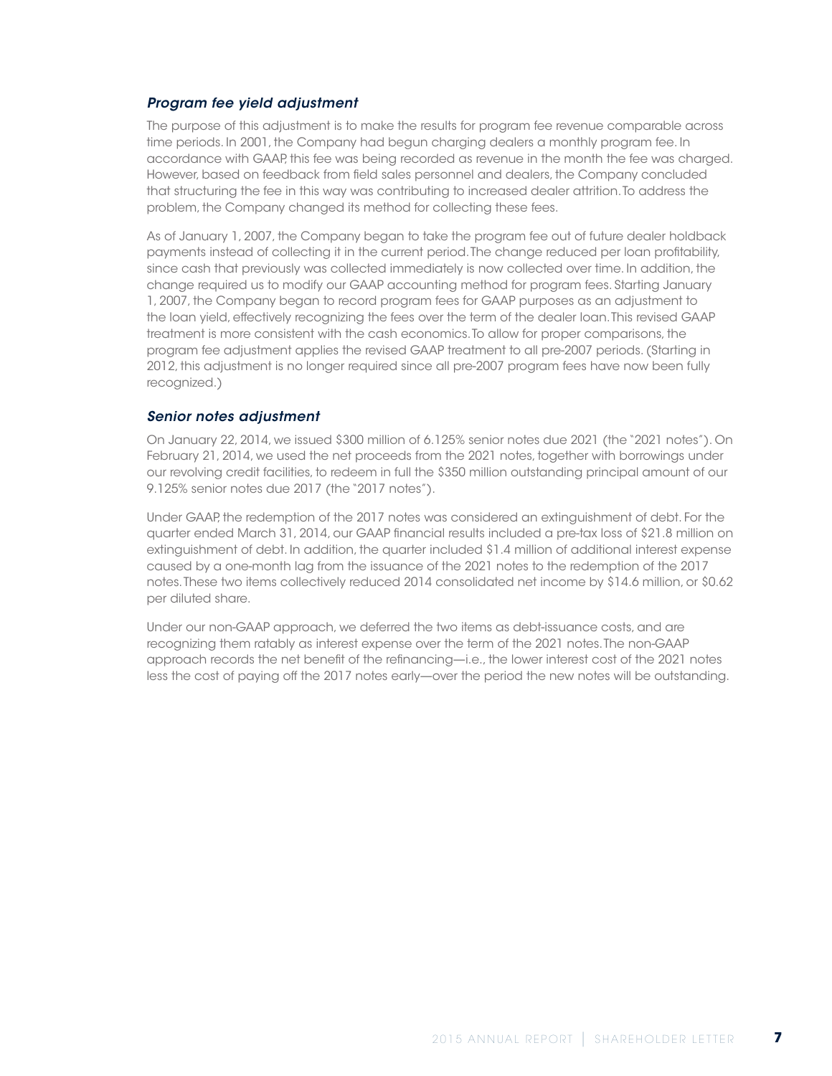#### *Program fee yield adjustment*

The purpose of this adjustment is to make the results for program fee revenue comparable across time periods. In 2001, the Company had begun charging dealers a monthly program fee. In accordance with GAAP, this fee was being recorded as revenue in the month the fee was charged. However, based on feedback from field sales personnel and dealers, the Company concluded that structuring the fee in this way was contributing to increased dealer attrition. To address the problem, the Company changed its method for collecting these fees.

As of January 1, 2007, the Company began to take the program fee out of future dealer holdback payments instead of collecting it in the current period. The change reduced per loan profitability, since cash that previously was collected immediately is now collected over time. In addition, the change required us to modify our GAAP accounting method for program fees. Starting January 1, 2007, the Company began to record program fees for GAAP purposes as an adjustment to the loan yield, effectively recognizing the fees over the term of the dealer loan. This revised GAAP treatment is more consistent with the cash economics. To allow for proper comparisons, the program fee adjustment applies the revised GAAP treatment to all pre-2007 periods. (Starting in 2012, this adjustment is no longer required since all pre-2007 program fees have now been fully recognized.)

#### *Senior notes adjustment*

On January 22, 2014, we issued \$300 million of 6.125% senior notes due 2021 (the "2021 notes"). On February 21, 2014, we used the net proceeds from the 2021 notes, together with borrowings under our revolving credit facilities, to redeem in full the \$350 million outstanding principal amount of our 9.125% senior notes due 2017 (the "2017 notes").

Under GAAP, the redemption of the 2017 notes was considered an extinguishment of debt. For the quarter ended March 31, 2014, our GAAP financial results included a pre-tax loss of \$21.8 million on extinguishment of debt. In addition, the quarter included \$1.4 million of additional interest expense caused by a one-month lag from the issuance of the 2021 notes to the redemption of the 2017 notes. These two items collectively reduced 2014 consolidated net income by \$14.6 million, or \$0.62 per diluted share.

Under our non-GAAP approach, we deferred the two items as debt-issuance costs, and are recognizing them ratably as interest expense over the term of the 2021 notes. The non-GAAP approach records the net benefit of the refinancing—i.e., the lower interest cost of the 2021 notes less the cost of paying off the 2017 notes early—over the period the new notes will be outstanding.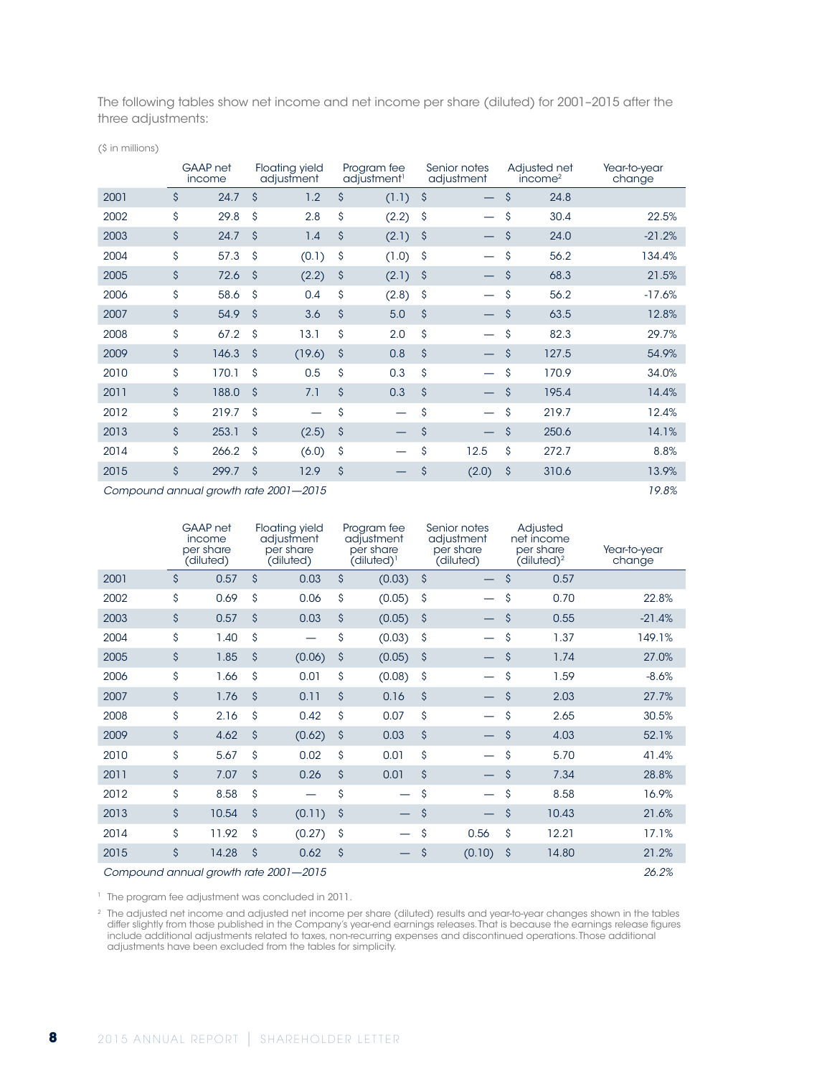The following tables show net income and net income per share (diluted) for 2001–2015 after the three adjustments:

(\$ in millions)

|      | GAAP net<br>income |                     | <b>Floating yield</b><br>adjustment   |                    | Program fee<br>adjustment <sup>1</sup> |                     | Senior notes<br>adjustment |                    | Adjusted net<br>income <sup>2</sup> | Year-to-year<br>change |
|------|--------------------|---------------------|---------------------------------------|--------------------|----------------------------------------|---------------------|----------------------------|--------------------|-------------------------------------|------------------------|
| 2001 | \$<br>24.7         | $\mathsf{\hat{S}}$  | 1.2                                   | \$                 | (1.1)                                  | \$                  |                            | $\hat{\mathsf{S}}$ | 24.8                                |                        |
| 2002 | \$<br>29.8         | \$                  | 2.8                                   | \$                 | (2.2)                                  | \$                  |                            | \$                 | 30.4                                | 22.5%                  |
| 2003 | \$<br>24.7         | \$                  | 1.4                                   | \$                 | (2.1)                                  | $\hat{\mathcal{S}}$ |                            | $\hat{\mathsf{S}}$ | 24.0                                | $-21.2%$               |
| 2004 | \$<br>57.3         | $\mathsf{\hat{S}}$  | (0.1)                                 | \$                 | (1.0)                                  | \$                  |                            | \$                 | 56.2                                | 134.4%                 |
| 2005 | \$<br>72.6         | $\ddot{\mathsf{s}}$ | (2.2)                                 | \$                 | (2.1)                                  | \$                  |                            | $\hat{\mathsf{S}}$ | 68.3                                | 21.5%                  |
| 2006 | \$<br>58.6         | $\hat{\mathsf{S}}$  | 0.4                                   | \$                 | (2.8)                                  | $\hat{\mathsf{S}}$  | —                          | \$                 | 56.2                                | $-17.6%$               |
| 2007 | \$<br>54.9         | $\mathsf{\hat{S}}$  | 3.6                                   | \$                 | 5.0                                    | $\mathsf{\hat{S}}$  |                            | $\mathsf{\hat{S}}$ | 63.5                                | 12.8%                  |
| 2008 | \$<br>67.2         | Ŝ                   | 13.1                                  | \$                 | 2.0                                    | \$                  |                            | \$                 | 82.3                                | 29.7%                  |
| 2009 | \$<br>146.3        | $\mathsf{\hat{S}}$  | (19.6)                                | $\mathsf{\hat{S}}$ | 0.8                                    | $\mathsf{\hat{S}}$  |                            | $\mathsf{\hat{S}}$ | 127.5                               | 54.9%                  |
| 2010 | \$<br>170.1        | \$                  | 0.5                                   | \$                 | 0.3                                    | \$                  |                            | \$                 | 170.9                               | 34.0%                  |
| 2011 | \$<br>188.0        | $\hat{\mathsf{S}}$  | 7.1                                   | \$                 | 0.3                                    | $\hat{\mathsf{S}}$  |                            | $\hat{\mathsf{S}}$ | 195.4                               | 14.4%                  |
| 2012 | \$<br>219.7        | \$                  |                                       | \$                 | $\overline{\phantom{0}}$               | \$                  |                            | \$                 | 219.7                               | 12.4%                  |
| 2013 | \$<br>253.1        | $\mathsf{\hat{S}}$  | (2.5)                                 | \$                 | —                                      | \$                  |                            | \$                 | 250.6                               | 14.1%                  |
| 2014 | \$<br>266.2        | Ŝ                   | (6.0)                                 | \$                 |                                        | \$                  | 12.5                       | \$                 | 272.7                               | 8.8%                   |
| 2015 | \$<br>299.7        | \$                  | 12.9                                  | \$                 | —                                      | \$                  | (2.0)                      | \$                 | 310.6                               | 13.9%                  |
|      |                    |                     | Compound annual growth rate 2001-2015 |                    |                                        |                     |                            |                    |                                     | 19.8%                  |

|                                       |    | GAAP net<br>income<br>per share<br>(diluted) |                    | <b>Floating yield</b><br>adjustment<br>per share<br>(diluted) |                    | Program fee<br>adjustment<br>per share<br>$(diluted)^{1}$ |                    | Senior notes<br>adjustment<br>per share<br>(diluted) |                     | Adjusted<br>net income<br>per share<br>(diluted) <sup>2</sup> | Year-to-year<br>change |
|---------------------------------------|----|----------------------------------------------|--------------------|---------------------------------------------------------------|--------------------|-----------------------------------------------------------|--------------------|------------------------------------------------------|---------------------|---------------------------------------------------------------|------------------------|
| 2001                                  | \$ | 0.57                                         | \$                 | 0.03                                                          | \$                 | (0.03)                                                    | \$                 |                                                      | $\hat{\mathcal{S}}$ | 0.57                                                          |                        |
| 2002                                  | \$ | 0.69                                         | \$                 | 0.06                                                          | \$                 | (0.05)                                                    | \$                 |                                                      | \$                  | 0.70                                                          | 22.8%                  |
| 2003                                  | \$ | 0.57                                         | $\mathsf{\hat{S}}$ | 0.03                                                          | $\mathsf{\hat{S}}$ | (0.05)                                                    | $\mathsf{\hat{S}}$ |                                                      | $\hat{\mathcal{S}}$ | 0.55                                                          | $-21.4%$               |
| 2004                                  | \$ | 1.40                                         | \$                 |                                                               | \$                 | (0.03)                                                    | \$                 |                                                      | \$                  | 1.37                                                          | 149.1%                 |
| 2005                                  | \$ | 1.85                                         | \$                 | (0.06)                                                        | \$                 | (0.05)                                                    | $\mathsf{\hat{S}}$ |                                                      | $\mathsf{\hat{S}}$  | 1.74                                                          | 27.0%                  |
| 2006                                  | \$ | 1.66                                         | \$                 | 0.01                                                          | \$                 | (0.08)                                                    | \$                 |                                                      | \$                  | 1.59                                                          | $-8.6%$                |
| 2007                                  | \$ | 1.76                                         | \$                 | 0.11                                                          | $\mathsf{\hat{S}}$ | 0.16                                                      | \$                 |                                                      | $\hat{\mathcal{S}}$ | 2.03                                                          | 27.7%                  |
| 2008                                  | \$ | 2.16                                         | \$                 | 0.42                                                          | \$                 | 0.07                                                      | \$                 |                                                      | $\mathsf{\hat{S}}$  | 2.65                                                          | 30.5%                  |
| 2009                                  | \$ | 4.62                                         | \$                 | (0.62)                                                        | \$                 | 0.03                                                      | \$                 |                                                      | $\hat{\mathcal{S}}$ | 4.03                                                          | 52.1%                  |
| 2010                                  | \$ | 5.67                                         | \$                 | 0.02                                                          | \$                 | 0.01                                                      | \$                 |                                                      | $\mathsf{\hat{S}}$  | 5.70                                                          | 41.4%                  |
| 2011                                  | \$ | 7.07                                         | $\mathsf{\hat{S}}$ | 0.26                                                          | $\mathsf{\hat{S}}$ | 0.01                                                      | $\mathsf{\hat{S}}$ |                                                      | $\mathsf{\hat{S}}$  | 7.34                                                          | 28.8%                  |
| 2012                                  | \$ | 8.58                                         | \$                 |                                                               | \$                 |                                                           | \$                 |                                                      | \$                  | 8.58                                                          | 16.9%                  |
| 2013                                  | \$ | 10.54                                        | \$                 | (0.11)                                                        | \$                 |                                                           | \$                 |                                                      | \$                  | 10.43                                                         | 21.6%                  |
| 2014                                  | \$ | 11.92                                        | \$                 | (0.27)                                                        | \$                 |                                                           | \$                 | 0.56                                                 | \$                  | 12.21                                                         | 17.1%                  |
| 2015                                  | \$ | 14.28                                        | \$                 | 0.62                                                          | $\mathsf{\hat{S}}$ |                                                           | \$                 | (0.10)                                               | \$                  | 14.80                                                         | 21.2%                  |
| Compound annual growth rate 2001-2015 |    |                                              |                    |                                                               |                    |                                                           |                    |                                                      |                     | 26.2%                                                         |                        |

<sup>1</sup> The program fee adjustment was concluded in 2011.

<sup>2</sup> The adjusted net income and adjusted net income per share (diluted) results and year-to-year changes shown in the tables differ slightly from those published in the Company's year-end earnings releases. That is because the earnings release figures include additional adjustments related to taxes, non-recurring expenses and discontinued operations. Those additional adjustments have been excluded from the tables for simplicity.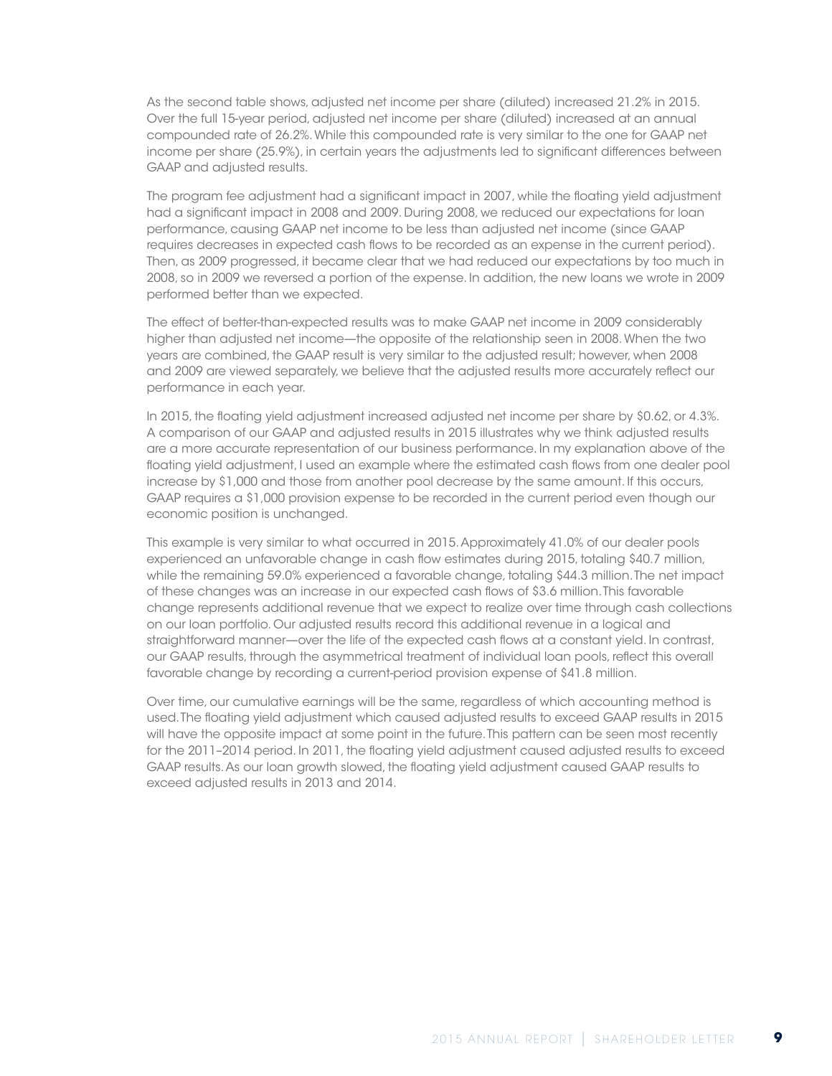As the second table shows, adjusted net income per share (diluted) increased 21.2% in 2015. Over the full 15-year period, adjusted net income per share (diluted) increased at an annual compounded rate of 26.2%. While this compounded rate is very similar to the one for GAAP net income per share (25.9%), in certain years the adjustments led to significant differences between GAAP and adjusted results.

The program fee adjustment had a significant impact in 2007, while the floating yield adjustment had a significant impact in 2008 and 2009. During 2008, we reduced our expectations for loan performance, causing GAAP net income to be less than adjusted net income (since GAAP requires decreases in expected cash flows to be recorded as an expense in the current period). Then, as 2009 progressed, it became clear that we had reduced our expectations by too much in 2008, so in 2009 we reversed a portion of the expense. In addition, the new loans we wrote in 2009 performed better than we expected.

The effect of better-than-expected results was to make GAAP net income in 2009 considerably higher than adjusted net income—the opposite of the relationship seen in 2008. When the two years are combined, the GAAP result is very similar to the adjusted result; however, when 2008 and 2009 are viewed separately, we believe that the adjusted results more accurately reflect our performance in each year.

In 2015, the floating yield adjustment increased adjusted net income per share by \$0.62, or 4.3%. A comparison of our GAAP and adjusted results in 2015 illustrates why we think adjusted results are a more accurate representation of our business performance. In my explanation above of the floating yield adjustment, I used an example where the estimated cash flows from one dealer pool increase by \$1,000 and those from another pool decrease by the same amount. If this occurs, GAAP requires a \$1,000 provision expense to be recorded in the current period even though our economic position is unchanged.

This example is very similar to what occurred in 2015. Approximately 41.0% of our dealer pools experienced an unfavorable change in cash flow estimates during 2015, totaling \$40.7 million, while the remaining 59.0% experienced a favorable change, totaling \$44.3 million. The net impact of these changes was an increase in our expected cash flows of \$3.6 million. This favorable change represents additional revenue that we expect to realize over time through cash collections on our loan portfolio. Our adjusted results record this additional revenue in a logical and straightforward manner—over the life of the expected cash flows at a constant yield. In contrast, our GAAP results, through the asymmetrical treatment of individual loan pools, reflect this overall favorable change by recording a current-period provision expense of \$41.8 million.

Over time, our cumulative earnings will be the same, regardless of which accounting method is used. The floating yield adjustment which caused adjusted results to exceed GAAP results in 2015 will have the opposite impact at some point in the future. This pattern can be seen most recently for the 2011–2014 period. In 2011, the floating yield adjustment caused adjusted results to exceed GAAP results. As our loan growth slowed, the floating yield adjustment caused GAAP results to exceed adjusted results in 2013 and 2014.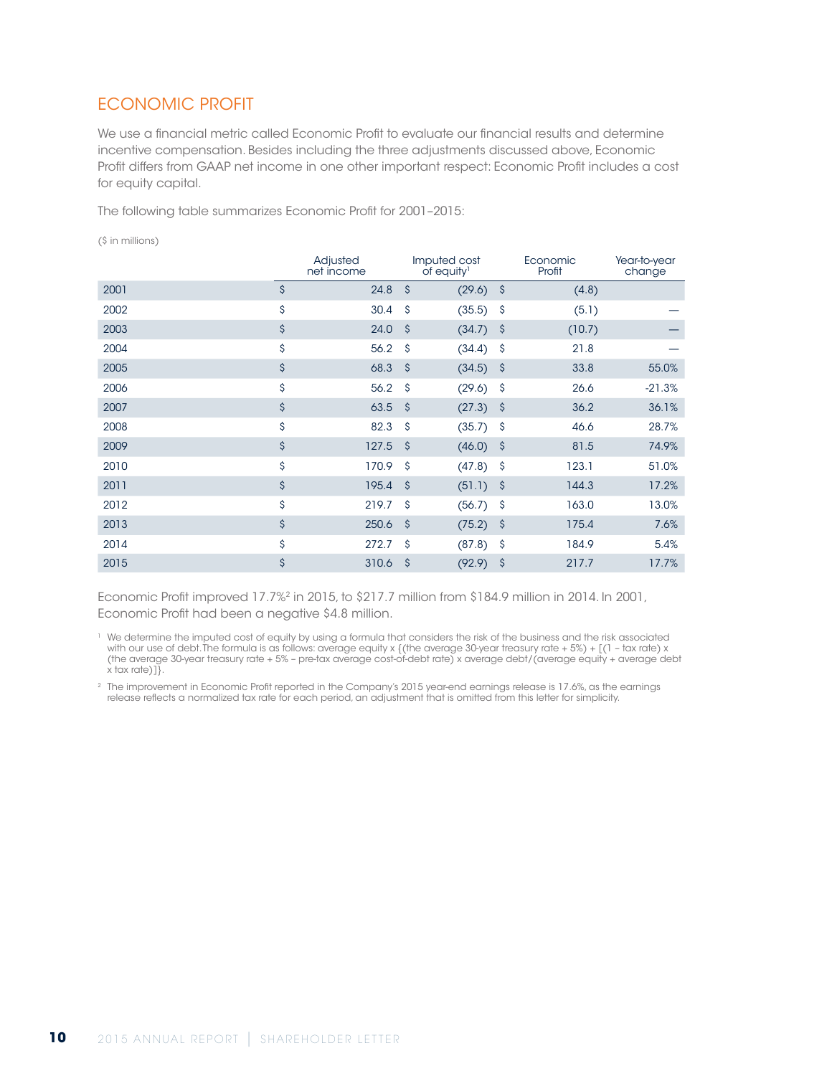# ECONOMIC PROFIT

We use a financial metric called Economic Profit to evaluate our financial results and determine incentive compensation. Besides including the three adjustments discussed above, Economic Profit differs from GAAP net income in one other important respect: Economic Profit includes a cost for equity capital.

The following table summarizes Economic Profit for 2001–2015:

(\$ in millions)

|      |                    | Adjusted<br>net income |                    | Imputed cost<br>of equity <sup>1</sup> |                     | Economic<br>Profit | Year-to-year<br>change |
|------|--------------------|------------------------|--------------------|----------------------------------------|---------------------|--------------------|------------------------|
| 2001 | $\mathsf{\hat{S}}$ | 24.8                   | $\mathsf{\hat{S}}$ | (29.6)                                 | 'S                  | (4.8)              |                        |
| 2002 | \$                 | 30.4                   | \$                 | (35.5)                                 | \$                  | (5.1)              |                        |
| 2003 | \$                 | 24.0                   | S.                 | (34.7)                                 | - \$                | (10.7)             |                        |
| 2004 | \$                 | 56.2                   | \$                 | (34.4)                                 | \$                  | 21.8               |                        |
| 2005 | \$                 | 68.3                   | $\mathsf{\hat{S}}$ | (34.5)                                 | \$                  | 33.8               | 55.0%                  |
| 2006 | \$                 | 56.2                   | \$                 | (29.6)                                 | \$                  | 26.6               | $-21.3%$               |
| 2007 | \$                 | 63.5                   | S.                 | (27.3)                                 | -\$                 | 36.2               | 36.1%                  |
| 2008 | \$                 | 82.3                   | \$                 | (35.7)                                 | \$                  | 46.6               | 28.7%                  |
| 2009 | \$                 | 127.5                  | <sub>S</sub>       | (46.0)                                 | \$                  | 81.5               | 74.9%                  |
| 2010 | \$                 | 170.9                  | \$                 | (47.8)                                 | \$                  | 123.1              | 51.0%                  |
| 2011 | \$                 | 195.4                  | $\mathsf{\hat{S}}$ | (51.1)                                 | $\hat{\mathcal{S}}$ | 144.3              | 17.2%                  |
| 2012 | \$                 | 219.7                  | \$                 | (56.7)                                 | \$                  | 163.0              | 13.0%                  |
| 2013 | \$                 | 250.6                  | S.                 | (75.2)                                 | -\$                 | 175.4              | 7.6%                   |
| 2014 | \$                 | 272.7                  | \$                 | (87.8)                                 | \$                  | 184.9              | 5.4%                   |
| 2015 | \$                 | 310.6                  | $\mathsf{\hat{S}}$ | (92.9)                                 | \$                  | 217.7              | 17.7%                  |

Economic Profit improved 17.7%2 in 2015, to \$217.7 million from \$184.9 million in 2014. In 2001, Economic Profit had been a negative \$4.8 million.

<sup>1</sup> We determine the imputed cost of equity by using a formula that considers the risk of the business and the risk associated with our use of debt. The formula is as follows: average equity x {(the average 30-year treasury rate + 5%) + [(1 – tax rate) x (the average 30-year treasury rate + 5% – pre-tax average cost-of-debt rate) x average debt/(average equity + average debt  $x$  tax rate)] $\}$ .

<sup>2</sup> The improvement in Economic Profit reported in the Company's 2015 year-end earnings release is 17.6%, as the earnings release reflects a normalized tax rate for each period, an adjustment that is omitted from this letter for simplicity.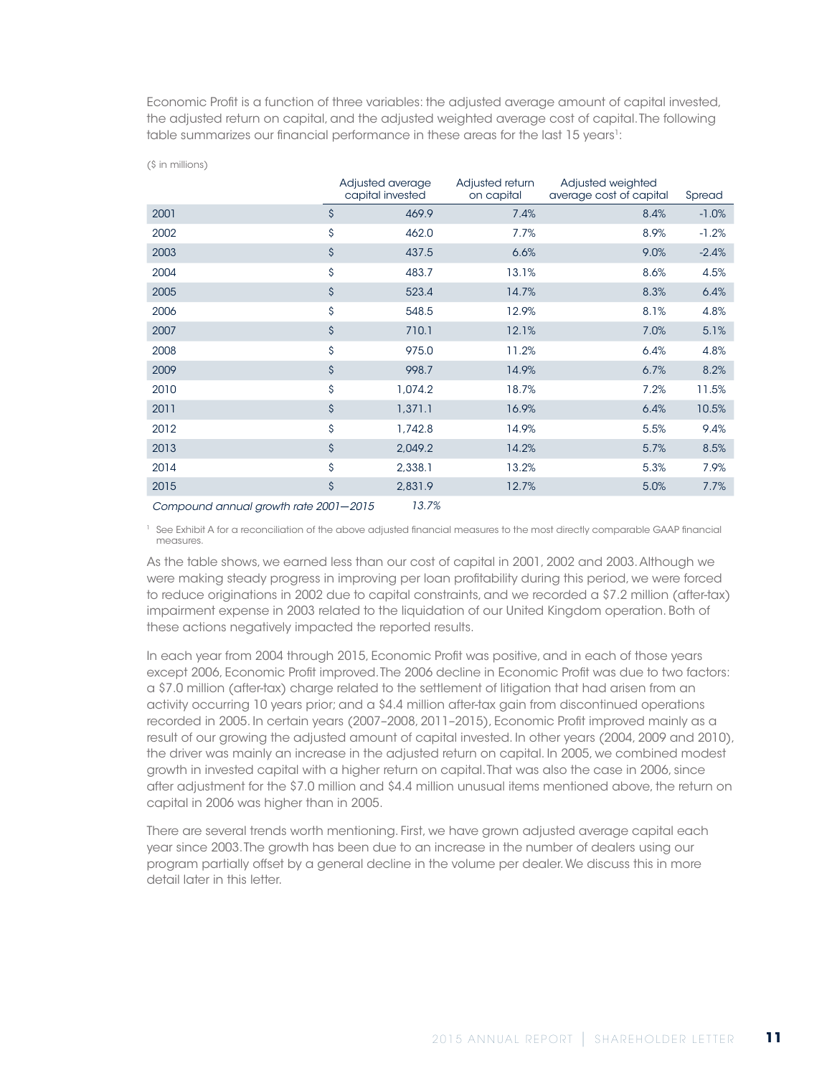Economic Profit is a function of three variables: the adjusted average amount of capital invested, the adjusted return on capital, and the adjusted weighted average cost of capital. The following table summarizes our financial performance in these areas for the last 15 years<sup>1</sup>:

|      |                    | Adjusted average<br>capital invested | Adjusted return<br>on capital | Adjusted weighted<br>average cost of capital | Spread  |
|------|--------------------|--------------------------------------|-------------------------------|----------------------------------------------|---------|
| 2001 | $\mathsf{\hat{S}}$ | 469.9                                | 7.4%                          | 8.4%                                         | $-1.0%$ |
| 2002 | \$                 | 462.0                                | 7.7%                          | 8.9%                                         | $-1.2%$ |
| 2003 | $\mathsf{\hat{S}}$ | 437.5                                | 6.6%                          | 9.0%                                         | $-2.4%$ |
| 2004 | \$                 | 483.7                                | 13.1%                         | 8.6%                                         | 4.5%    |
| 2005 | \$                 | 523.4                                | 14.7%                         | 8.3%                                         | 6.4%    |
| 2006 | \$                 | 548.5                                | 12.9%                         | 8.1%                                         | 4.8%    |
| 2007 | \$                 | 710.1                                | 12.1%                         | 7.0%                                         | 5.1%    |
| 2008 | \$                 | 975.0                                | 11.2%                         | 6.4%                                         | 4.8%    |
| 2009 | \$                 | 998.7                                | 14.9%                         | 6.7%                                         | 8.2%    |
| 2010 | \$                 | 1,074.2                              | 18.7%                         | 7.2%                                         | 11.5%   |
| 2011 | \$                 | 1,371.1                              | 16.9%                         | 6.4%                                         | 10.5%   |
| 2012 | \$                 | 1,742.8                              | 14.9%                         | 5.5%                                         | 9.4%    |
| 2013 | $\mathsf{\hat{S}}$ | 2,049.2                              | 14.2%                         | 5.7%                                         | 8.5%    |
| 2014 | \$                 | 2,338.1                              | 13.2%                         | 5.3%                                         | 7.9%    |
| 2015 | \$                 | 2,831.9                              | 12.7%                         | 5.0%                                         | 7.7%    |
|      |                    | $\sim$ $\sim$ $\sim$                 |                               |                                              |         |

*Compound annual growth rate 2001*—*2015 13.7%*

(\$ in millions)

<sup>1</sup> See Exhibit A for a reconciliation of the above adjusted financial measures to the most directly comparable GAAP financial measures.

As the table shows, we earned less than our cost of capital in 2001, 2002 and 2003. Although we were making steady progress in improving per loan profitability during this period, we were forced to reduce originations in 2002 due to capital constraints, and we recorded a \$7.2 million (after-tax) impairment expense in 2003 related to the liquidation of our United Kingdom operation. Both of these actions negatively impacted the reported results.

In each year from 2004 through 2015, Economic Profit was positive, and in each of those years except 2006, Economic Profit improved. The 2006 decline in Economic Profit was due to two factors: a \$7.0 million (after-tax) charge related to the settlement of litigation that had arisen from an activity occurring 10 years prior; and a \$4.4 million after-tax gain from discontinued operations recorded in 2005. In certain years (2007–2008, 2011–2015), Economic Profit improved mainly as a result of our growing the adjusted amount of capital invested. In other years (2004, 2009 and 2010), the driver was mainly an increase in the adjusted return on capital. In 2005, we combined modest growth in invested capital with a higher return on capital. That was also the case in 2006, since after adjustment for the \$7.0 million and \$4.4 million unusual items mentioned above, the return on capital in 2006 was higher than in 2005.

There are several trends worth mentioning. First, we have grown adjusted average capital each year since 2003. The growth has been due to an increase in the number of dealers using our program partially offset by a general decline in the volume per dealer. We discuss this in more detail later in this letter.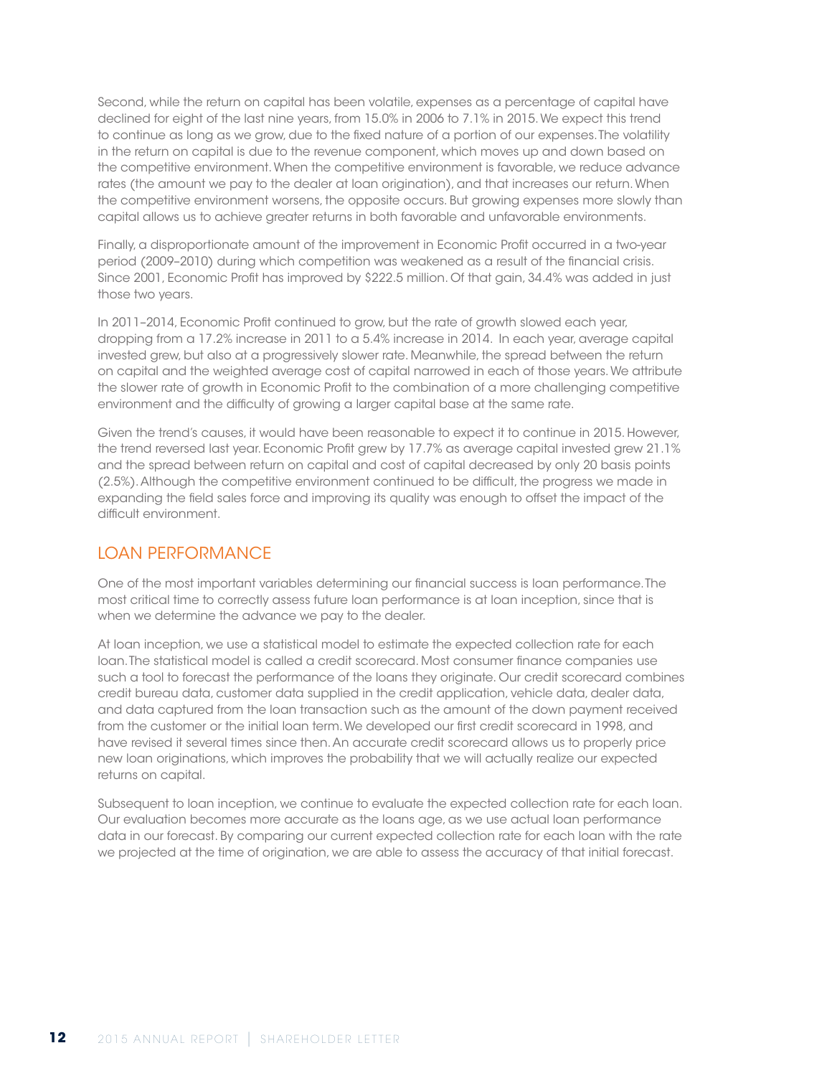Second, while the return on capital has been volatile, expenses as a percentage of capital have declined for eight of the last nine years, from 15.0% in 2006 to 7.1% in 2015. We expect this trend to continue as long as we grow, due to the fixed nature of a portion of our expenses. The volatility in the return on capital is due to the revenue component, which moves up and down based on the competitive environment. When the competitive environment is favorable, we reduce advance rates (the amount we pay to the dealer at loan origination), and that increases our return. When the competitive environment worsens, the opposite occurs. But growing expenses more slowly than capital allows us to achieve greater returns in both favorable and unfavorable environments.

Finally, a disproportionate amount of the improvement in Economic Profit occurred in a two-year period (2009–2010) during which competition was weakened as a result of the financial crisis. Since 2001, Economic Profit has improved by \$222.5 million. Of that gain, 34.4% was added in just those two years.

In 2011–2014, Economic Profit continued to grow, but the rate of growth slowed each year, dropping from a 17.2% increase in 2011 to a 5.4% increase in 2014. In each year, average capital invested grew, but also at a progressively slower rate. Meanwhile, the spread between the return on capital and the weighted average cost of capital narrowed in each of those years. We attribute the slower rate of growth in Economic Profit to the combination of a more challenging competitive environment and the difficulty of growing a larger capital base at the same rate.

Given the trend's causes, it would have been reasonable to expect it to continue in 2015. However, the trend reversed last year. Economic Profit grew by 17.7% as average capital invested grew 21.1% and the spread between return on capital and cost of capital decreased by only 20 basis points (2.5%). Although the competitive environment continued to be difficult, the progress we made in expanding the field sales force and improving its quality was enough to offset the impact of the difficult environment.

### LOAN PERFORMANCE

One of the most important variables determining our financial success is loan performance. The most critical time to correctly assess future loan performance is at loan inception, since that is when we determine the advance we pay to the dealer.

At loan inception, we use a statistical model to estimate the expected collection rate for each loan. The statistical model is called a credit scorecard. Most consumer finance companies use such a tool to forecast the performance of the loans they originate. Our credit scorecard combines credit bureau data, customer data supplied in the credit application, vehicle data, dealer data, and data captured from the loan transaction such as the amount of the down payment received from the customer or the initial loan term. We developed our first credit scorecard in 1998, and have revised it several times since then. An accurate credit scorecard allows us to properly price new loan originations, which improves the probability that we will actually realize our expected returns on capital.

Subsequent to loan inception, we continue to evaluate the expected collection rate for each loan. Our evaluation becomes more accurate as the loans age, as we use actual loan performance data in our forecast. By comparing our current expected collection rate for each loan with the rate we projected at the time of origination, we are able to assess the accuracy of that initial forecast.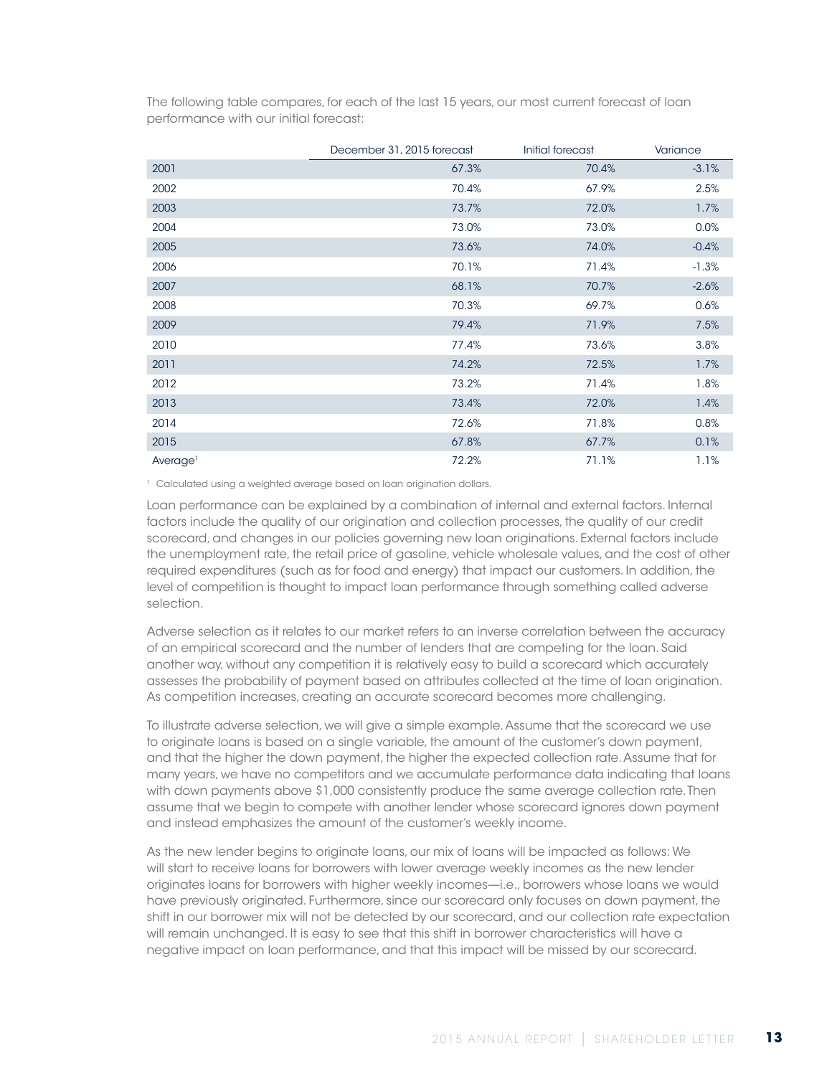The following table compares, for each of the last 15 years, our most current forecast of loan performance with our initial forecast:

|                      | December 31, 2015 forecast | Initial forecast | Variance |
|----------------------|----------------------------|------------------|----------|
| 2001                 | 67.3%                      | 70.4%            | $-3.1%$  |
| 2002                 | 70.4%                      | 67.9%            | 2.5%     |
| 2003                 | 73.7%                      | 72.0%            | 1.7%     |
| 2004                 | 73.0%                      | 73.0%            | 0.0%     |
| 2005                 | 73.6%                      | 74.0%            | $-0.4%$  |
| 2006                 | 70.1%                      | 71.4%            | $-1.3%$  |
| 2007                 | 68.1%                      | 70.7%            | $-2.6%$  |
| 2008                 | 70.3%                      | 69.7%            | 0.6%     |
| 2009                 | 79.4%                      | 71.9%            | 7.5%     |
| 2010                 | 77.4%                      | 73.6%            | 3.8%     |
| 2011                 | 74.2%                      | 72.5%            | 1.7%     |
| 2012                 | 73.2%                      | 71.4%            | 1.8%     |
| 2013                 | 73.4%                      | 72.0%            | 1.4%     |
| 2014                 | 72.6%                      | 71.8%            | 0.8%     |
| 2015                 | 67.8%                      | 67.7%            | 0.1%     |
| Average <sup>1</sup> | 72.2%                      | 71.1%            | 1.1%     |

<sup>1</sup> Calculated using a weighted average based on loan origination dollars.

Loan performance can be explained by a combination of internal and external factors. Internal factors include the quality of our origination and collection processes, the quality of our credit scorecard, and changes in our policies governing new loan originations. External factors include the unemployment rate, the retail price of gasoline, vehicle wholesale values, and the cost of other required expenditures (such as for food and energy) that impact our customers. In addition, the level of competition is thought to impact loan performance through something called adverse selection.

Adverse selection as it relates to our market refers to an inverse correlation between the accuracy of an empirical scorecard and the number of lenders that are competing for the loan. Said another way, without any competition it is relatively easy to build a scorecard which accurately assesses the probability of payment based on attributes collected at the time of loan origination. As competition increases, creating an accurate scorecard becomes more challenging.

To illustrate adverse selection, we will give a simple example. Assume that the scorecard we use to originate loans is based on a single variable, the amount of the customer's down payment, and that the higher the down payment, the higher the expected collection rate. Assume that for many years, we have no competitors and we accumulate performance data indicating that loans with down payments above \$1,000 consistently produce the same average collection rate. Then assume that we begin to compete with another lender whose scorecard ignores down payment and instead emphasizes the amount of the customer's weekly income.

As the new lender begins to originate loans, our mix of loans will be impacted as follows: We will start to receive loans for borrowers with lower average weekly incomes as the new lender originates loans for borrowers with higher weekly incomes—i.e., borrowers whose loans we would have previously originated. Furthermore, since our scorecard only focuses on down payment, the shift in our borrower mix will not be detected by our scorecard, and our collection rate expectation will remain unchanged. It is easy to see that this shift in borrower characteristics will have a negative impact on loan performance, and that this impact will be missed by our scorecard.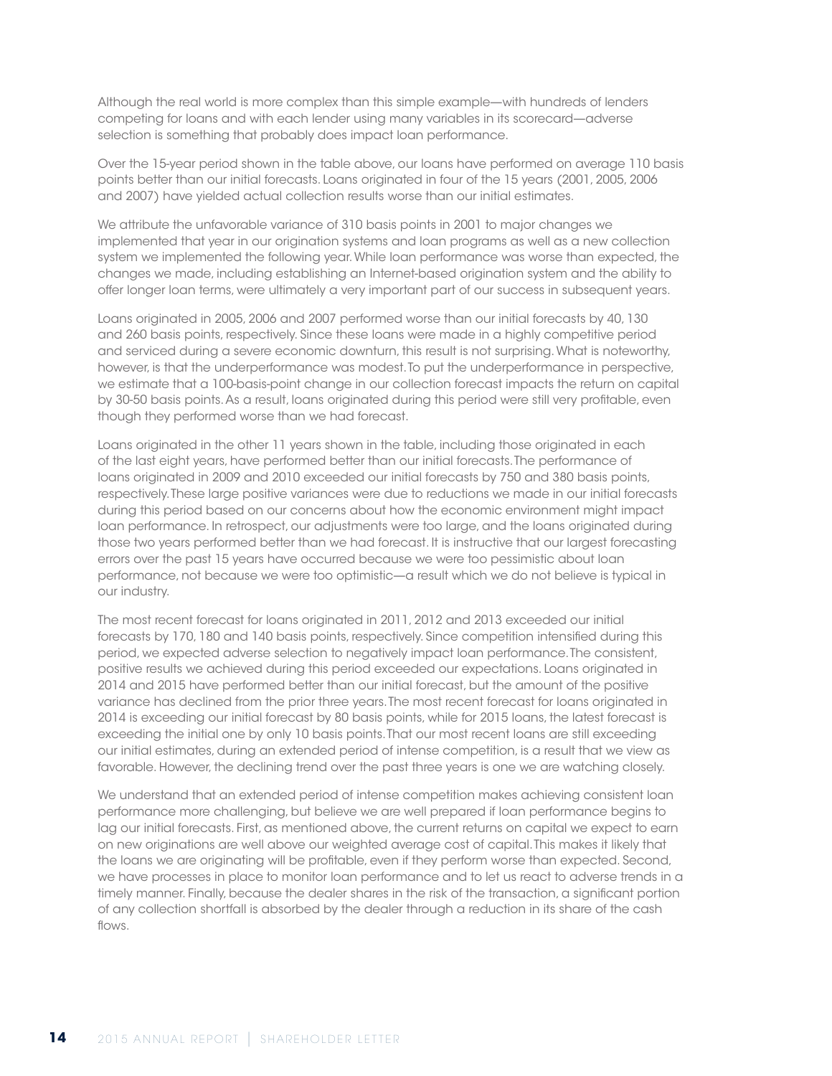Although the real world is more complex than this simple example—with hundreds of lenders competing for loans and with each lender using many variables in its scorecard—adverse selection is something that probably does impact loan performance.

Over the 15-year period shown in the table above, our loans have performed on average 110 basis points better than our initial forecasts. Loans originated in four of the 15 years (2001, 2005, 2006 and 2007) have yielded actual collection results worse than our initial estimates.

We attribute the unfavorable variance of 310 basis points in 2001 to major changes we implemented that year in our origination systems and loan programs as well as a new collection system we implemented the following year. While loan performance was worse than expected, the changes we made, including establishing an Internet-based origination system and the ability to offer longer loan terms, were ultimately a very important part of our success in subsequent years.

Loans originated in 2005, 2006 and 2007 performed worse than our initial forecasts by 40, 130 and 260 basis points, respectively. Since these loans were made in a highly competitive period and serviced during a severe economic downturn, this result is not surprising. What is noteworthy, however, is that the underperformance was modest. To put the underperformance in perspective, we estimate that a 100-basis-point change in our collection forecast impacts the return on capital by 30-50 basis points. As a result, loans originated during this period were still very profitable, even though they performed worse than we had forecast.

Loans originated in the other 11 years shown in the table, including those originated in each of the last eight years, have performed better than our initial forecasts. The performance of loans originated in 2009 and 2010 exceeded our initial forecasts by 750 and 380 basis points, respectively. These large positive variances were due to reductions we made in our initial forecasts during this period based on our concerns about how the economic environment might impact loan performance. In retrospect, our adjustments were too large, and the loans originated during those two years performed better than we had forecast. It is instructive that our largest forecasting errors over the past 15 years have occurred because we were too pessimistic about loan performance, not because we were too optimistic—a result which we do not believe is typical in our industry.

The most recent forecast for loans originated in 2011, 2012 and 2013 exceeded our initial forecasts by 170, 180 and 140 basis points, respectively. Since competition intensified during this period, we expected adverse selection to negatively impact loan performance. The consistent, positive results we achieved during this period exceeded our expectations. Loans originated in 2014 and 2015 have performed better than our initial forecast, but the amount of the positive variance has declined from the prior three years. The most recent forecast for loans originated in 2014 is exceeding our initial forecast by 80 basis points, while for 2015 loans, the latest forecast is exceeding the initial one by only 10 basis points. That our most recent loans are still exceeding our initial estimates, during an extended period of intense competition, is a result that we view as favorable. However, the declining trend over the past three years is one we are watching closely.

We understand that an extended period of intense competition makes achieving consistent loan performance more challenging, but believe we are well prepared if loan performance begins to lag our initial forecasts. First, as mentioned above, the current returns on capital we expect to earn on new originations are well above our weighted average cost of capital. This makes it likely that the loans we are originating will be profitable, even if they perform worse than expected. Second, we have processes in place to monitor loan performance and to let us react to adverse trends in a timely manner. Finally, because the dealer shares in the risk of the transaction, a significant portion of any collection shortfall is absorbed by the dealer through a reduction in its share of the cash flows.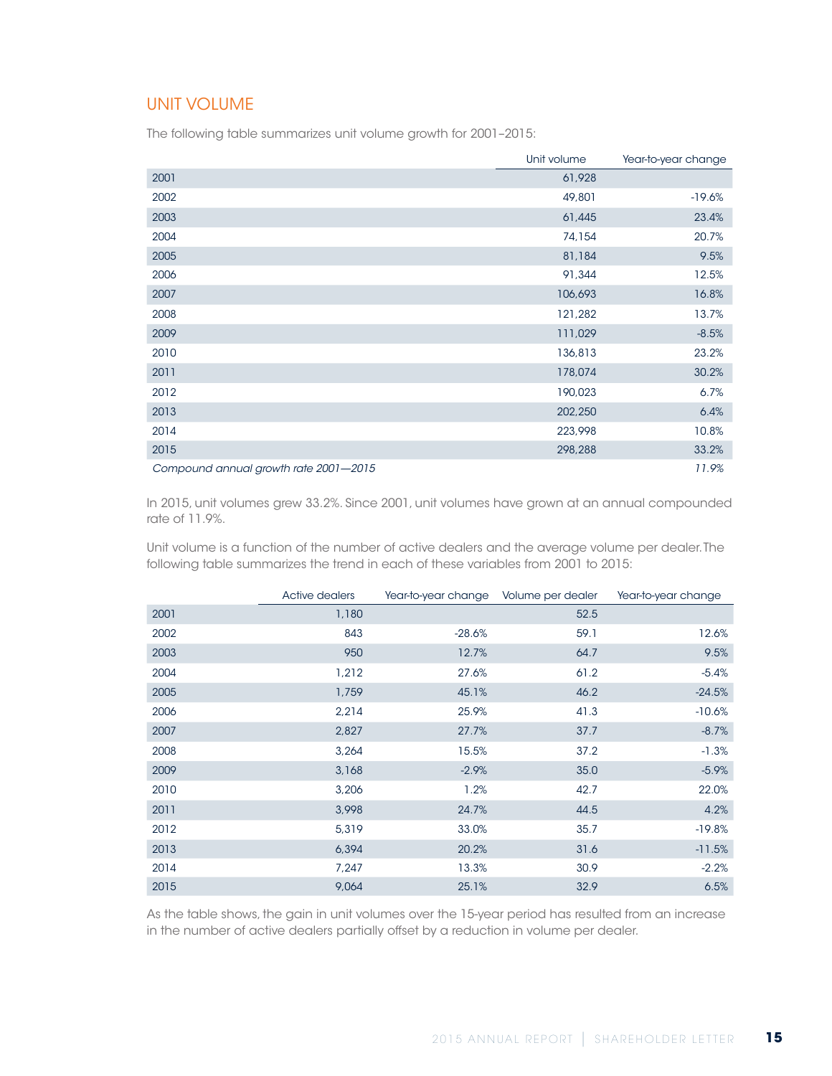### UNIT VOLUME

The following table summarizes unit volume growth for 2001–2015:

|                                       | Unit volume | Year-to-year change |
|---------------------------------------|-------------|---------------------|
| 2001                                  | 61,928      |                     |
| 2002                                  | 49,801      | $-19.6%$            |
| 2003                                  | 61,445      | 23.4%               |
| 2004                                  | 74,154      | 20.7%               |
| 2005                                  | 81,184      | 9.5%                |
| 2006                                  | 91,344      | 12.5%               |
| 2007                                  | 106,693     | 16.8%               |
| 2008                                  | 121,282     | 13.7%               |
| 2009                                  | 111,029     | $-8.5%$             |
| 2010                                  | 136,813     | 23.2%               |
| 2011                                  | 178,074     | 30.2%               |
| 2012                                  | 190,023     | 6.7%                |
| 2013                                  | 202,250     | 6.4%                |
| 2014                                  | 223,998     | 10.8%               |
| 2015                                  | 298,288     | 33.2%               |
| Compound annual growth rate 2001-2015 |             | 11.9%               |

In 2015, unit volumes grew 33.2%. Since 2001, unit volumes have grown at an annual compounded rate of 11.9%.

Unit volume is a function of the number of active dealers and the average volume per dealer. The following table summarizes the trend in each of these variables from 2001 to 2015:

|      | Active dealers | Year-to-year change Volume per dealer |      | Year-to-year change |
|------|----------------|---------------------------------------|------|---------------------|
| 2001 | 1,180          |                                       | 52.5 |                     |
| 2002 | 843            | $-28.6%$                              | 59.1 | 12.6%               |
| 2003 | 950            | 12.7%                                 | 64.7 | 9.5%                |
| 2004 | 1,212          | 27.6%                                 | 61.2 | $-5.4%$             |
| 2005 | 1,759          | 45.1%                                 | 46.2 | $-24.5%$            |
| 2006 | 2,214          | 25.9%                                 | 41.3 | $-10.6%$            |
| 2007 | 2,827          | 27.7%                                 | 37.7 | $-8.7%$             |
| 2008 | 3,264          | 15.5%                                 | 37.2 | $-1.3%$             |
| 2009 | 3,168          | $-2.9%$                               | 35.0 | $-5.9%$             |
| 2010 | 3,206          | 1.2%                                  | 42.7 | 22.0%               |
| 2011 | 3,998          | 24.7%                                 | 44.5 | 4.2%                |
| 2012 | 5,319          | 33.0%                                 | 35.7 | $-19.8%$            |
| 2013 | 6,394          | 20.2%                                 | 31.6 | $-11.5%$            |
| 2014 | 7,247          | 13.3%                                 | 30.9 | $-2.2%$             |
| 2015 | 9,064          | 25.1%                                 | 32.9 | 6.5%                |

As the table shows, the gain in unit volumes over the 15-year period has resulted from an increase in the number of active dealers partially offset by a reduction in volume per dealer.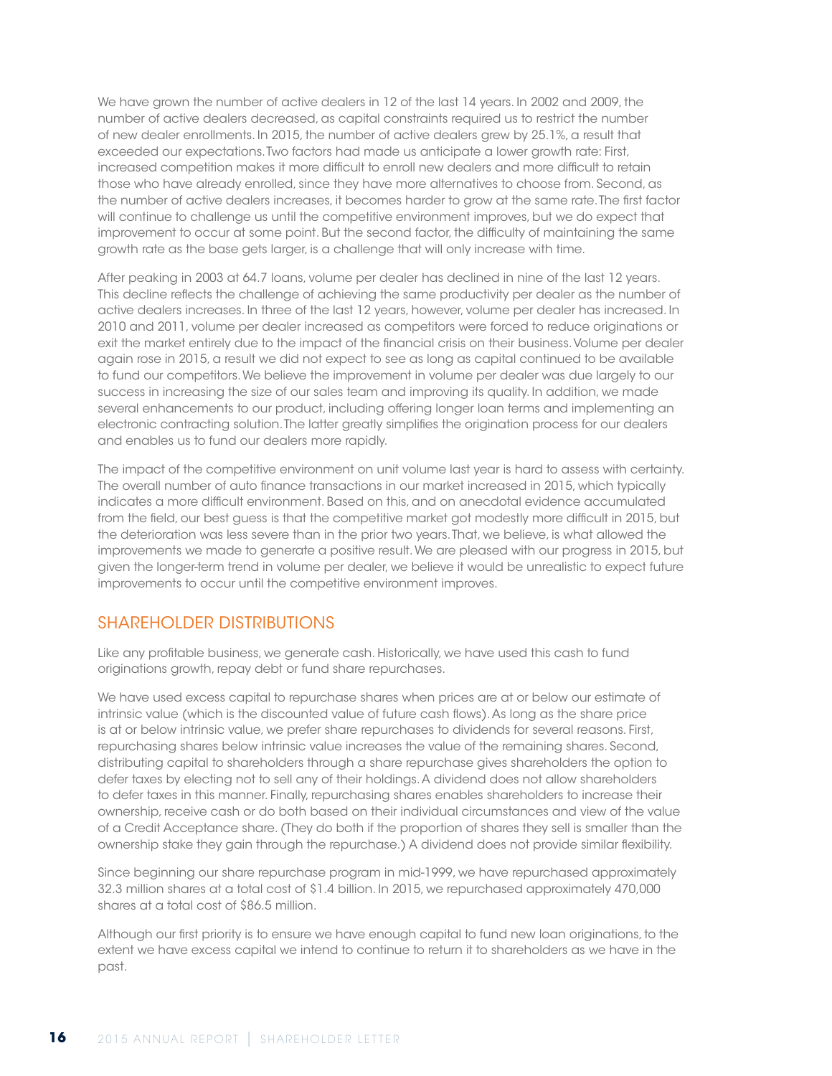We have grown the number of active dealers in 12 of the last 14 years. In 2002 and 2009, the number of active dealers decreased, as capital constraints required us to restrict the number of new dealer enrollments. In 2015, the number of active dealers grew by 25.1%, a result that exceeded our expectations. Two factors had made us anticipate a lower growth rate: First, increased competition makes it more difficult to enroll new dealers and more difficult to retain those who have already enrolled, since they have more alternatives to choose from. Second, as the number of active dealers increases, it becomes harder to grow at the same rate. The first factor will continue to challenge us until the competitive environment improves, but we do expect that improvement to occur at some point. But the second factor, the difficulty of maintaining the same growth rate as the base gets larger, is a challenge that will only increase with time.

After peaking in 2003 at 64.7 loans, volume per dealer has declined in nine of the last 12 years. This decline reflects the challenge of achieving the same productivity per dealer as the number of active dealers increases. In three of the last 12 years, however, volume per dealer has increased. In 2010 and 2011, volume per dealer increased as competitors were forced to reduce originations or exit the market entirely due to the impact of the financial crisis on their business. Volume per dealer again rose in 2015, a result we did not expect to see as long as capital continued to be available to fund our competitors. We believe the improvement in volume per dealer was due largely to our success in increasing the size of our sales team and improving its quality. In addition, we made several enhancements to our product, including offering longer loan terms and implementing an electronic contracting solution. The latter greatly simplifies the origination process for our dealers and enables us to fund our dealers more rapidly.

The impact of the competitive environment on unit volume last year is hard to assess with certainty. The overall number of auto finance transactions in our market increased in 2015, which typically indicates a more difficult environment. Based on this, and on anecdotal evidence accumulated from the field, our best guess is that the competitive market got modestly more difficult in 2015, but the deterioration was less severe than in the prior two years. That, we believe, is what allowed the improvements we made to generate a positive result. We are pleased with our progress in 2015, but given the longer-term trend in volume per dealer, we believe it would be unrealistic to expect future improvements to occur until the competitive environment improves.

### SHAREHOLDER DISTRIBUTIONS

Like any profitable business, we generate cash. Historically, we have used this cash to fund originations growth, repay debt or fund share repurchases.

We have used excess capital to repurchase shares when prices are at or below our estimate of intrinsic value (which is the discounted value of future cash flows). As long as the share price is at or below intrinsic value, we prefer share repurchases to dividends for several reasons. First, repurchasing shares below intrinsic value increases the value of the remaining shares. Second, distributing capital to shareholders through a share repurchase gives shareholders the option to defer taxes by electing not to sell any of their holdings. A dividend does not allow shareholders to defer taxes in this manner. Finally, repurchasing shares enables shareholders to increase their ownership, receive cash or do both based on their individual circumstances and view of the value of a Credit Acceptance share. (They do both if the proportion of shares they sell is smaller than the ownership stake they gain through the repurchase.) A dividend does not provide similar flexibility.

Since beginning our share repurchase program in mid-1999, we have repurchased approximately 32.3 million shares at a total cost of \$1.4 billion. In 2015, we repurchased approximately 470,000 shares at a total cost of \$86.5 million.

Although our first priority is to ensure we have enough capital to fund new loan originations, to the extent we have excess capital we intend to continue to return it to shareholders as we have in the past.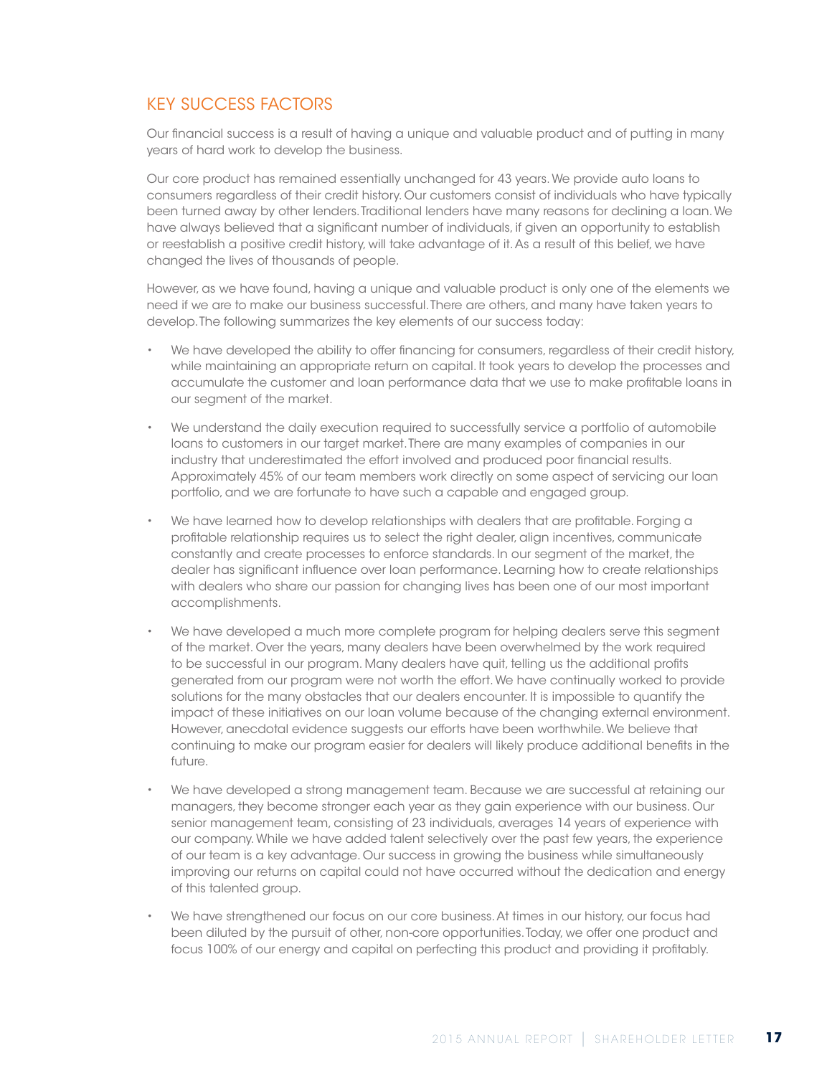## KEY SUCCESS FACTORS

Our financial success is a result of having a unique and valuable product and of putting in many years of hard work to develop the business.

Our core product has remained essentially unchanged for 43 years. We provide auto loans to consumers regardless of their credit history. Our customers consist of individuals who have typically been turned away by other lenders. Traditional lenders have many reasons for declining a loan. We have always believed that a significant number of individuals, if given an opportunity to establish or reestablish a positive credit history, will take advantage of it. As a result of this belief, we have changed the lives of thousands of people.

However, as we have found, having a unique and valuable product is only one of the elements we need if we are to make our business successful. There are others, and many have taken years to develop. The following summarizes the key elements of our success today:

- We have developed the ability to offer financing for consumers, regardless of their credit history, while maintaining an appropriate return on capital. It took years to develop the processes and accumulate the customer and loan performance data that we use to make profitable loans in our segment of the market.
- We understand the daily execution required to successfully service a portfolio of automobile loans to customers in our target market. There are many examples of companies in our industry that underestimated the effort involved and produced poor financial results. Approximately 45% of our team members work directly on some aspect of servicing our loan portfolio, and we are fortunate to have such a capable and engaged group.
- We have learned how to develop relationships with dealers that are profitable. Forging a profitable relationship requires us to select the right dealer, align incentives, communicate constantly and create processes to enforce standards. In our segment of the market, the dealer has significant influence over loan performance. Learning how to create relationships with dealers who share our passion for changing lives has been one of our most important accomplishments.
- We have developed a much more complete program for helping dealers serve this segment of the market. Over the years, many dealers have been overwhelmed by the work required to be successful in our program. Many dealers have quit, telling us the additional profits generated from our program were not worth the effort. We have continually worked to provide solutions for the many obstacles that our dealers encounter. It is impossible to quantify the impact of these initiatives on our loan volume because of the changing external environment. However, anecdotal evidence suggests our efforts have been worthwhile. We believe that continuing to make our program easier for dealers will likely produce additional benefits in the future.
- We have developed a strong management team. Because we are successful at retaining our managers, they become stronger each year as they gain experience with our business. Our senior management team, consisting of 23 individuals, averages 14 years of experience with our company. While we have added talent selectively over the past few years, the experience of our team is a key advantage. Our success in growing the business while simultaneously improving our returns on capital could not have occurred without the dedication and energy of this talented group.
- We have strengthened our focus on our core business. At times in our history, our focus had been diluted by the pursuit of other, non-core opportunities. Today, we offer one product and focus 100% of our energy and capital on perfecting this product and providing it profitably.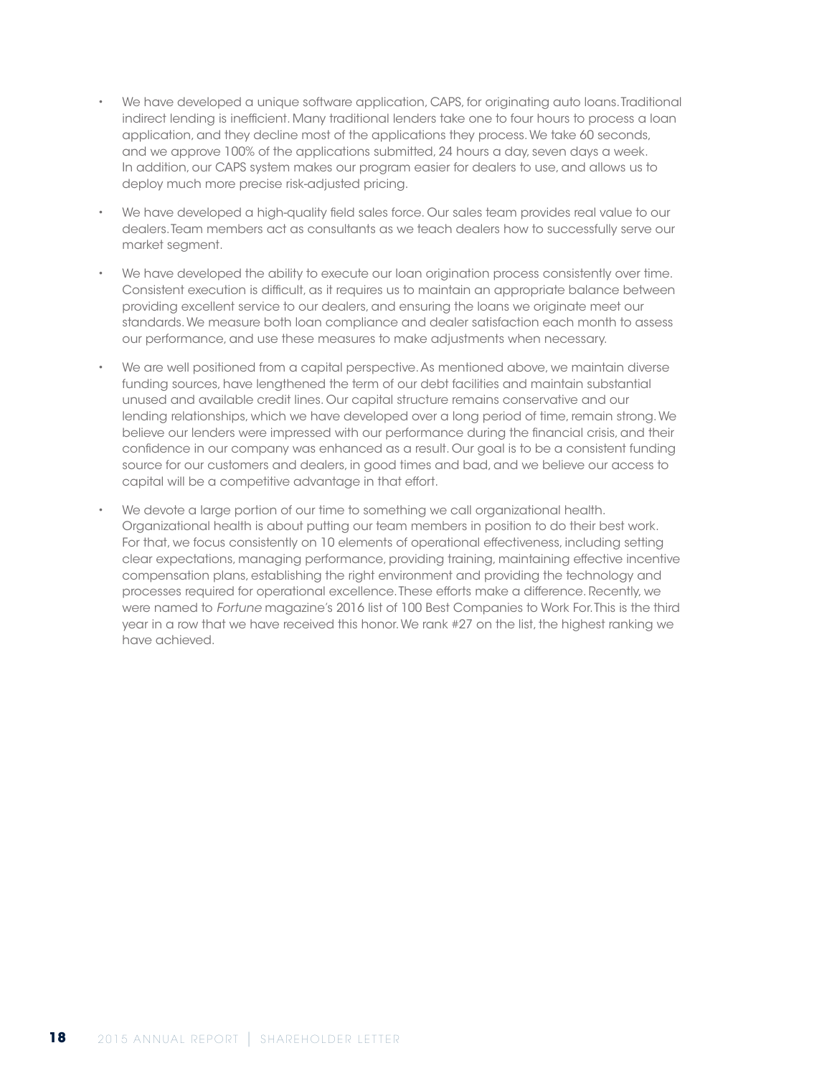- We have developed a unique software application, CAPS, for originating auto loans. Traditional indirect lending is inefficient. Many traditional lenders take one to four hours to process a loan application, and they decline most of the applications they process. We take 60 seconds, and we approve 100% of the applications submitted, 24 hours a day, seven days a week. In addition, our CAPS system makes our program easier for dealers to use, and allows us to deploy much more precise risk-adjusted pricing.
- We have developed a high-quality field sales force. Our sales team provides real value to our dealers. Team members act as consultants as we teach dealers how to successfully serve our market segment.
- We have developed the ability to execute our loan origination process consistently over time. Consistent execution is difficult, as it requires us to maintain an appropriate balance between providing excellent service to our dealers, and ensuring the loans we originate meet our standards. We measure both loan compliance and dealer satisfaction each month to assess our performance, and use these measures to make adjustments when necessary.
- We are well positioned from a capital perspective. As mentioned above, we maintain diverse funding sources, have lengthened the term of our debt facilities and maintain substantial unused and available credit lines. Our capital structure remains conservative and our lending relationships, which we have developed over a long period of time, remain strong. We believe our lenders were impressed with our performance during the financial crisis, and their confidence in our company was enhanced as a result. Our goal is to be a consistent funding source for our customers and dealers, in good times and bad, and we believe our access to capital will be a competitive advantage in that effort.
- We devote a large portion of our time to something we call organizational health. Organizational health is about putting our team members in position to do their best work. For that, we focus consistently on 10 elements of operational effectiveness, including setting clear expectations, managing performance, providing training, maintaining effective incentive compensation plans, establishing the right environment and providing the technology and processes required for operational excellence. These efforts make a difference. Recently, we were named to *Fortune* magazine's 2016 list of 100 Best Companies to Work For. This is the third year in a row that we have received this honor. We rank #27 on the list, the highest ranking we have achieved.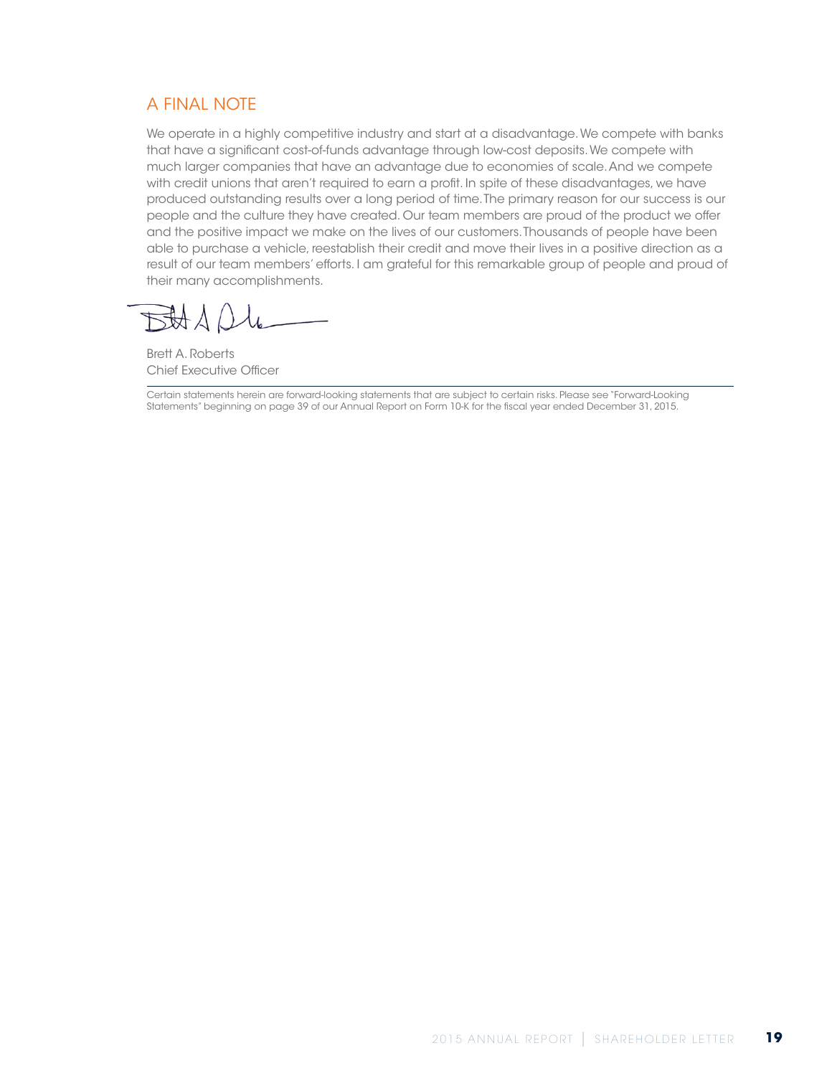## A FINAL NOTE

We operate in a highly competitive industry and start at a disadvantage. We compete with banks that have a significant cost-of-funds advantage through low-cost deposits. We compete with much larger companies that have an advantage due to economies of scale. And we compete with credit unions that aren't required to earn a profit. In spite of these disadvantages, we have produced outstanding results over a long period of time. The primary reason for our success is our people and the culture they have created. Our team members are proud of the product we offer and the positive impact we make on the lives of our customers. Thousands of people have been able to purchase a vehicle, reestablish their credit and move their lives in a positive direction as a result of our team members' efforts. I am grateful for this remarkable group of people and proud of their many accomplishments.

Brett A. Roberts Chief Executive Officer

Certain statements herein are forward-looking statements that are subject to certain risks. Please see "Forward-Looking Statements" beginning on page 39 of our Annual Report on Form 10-K for the fiscal year ended December 31, 2015.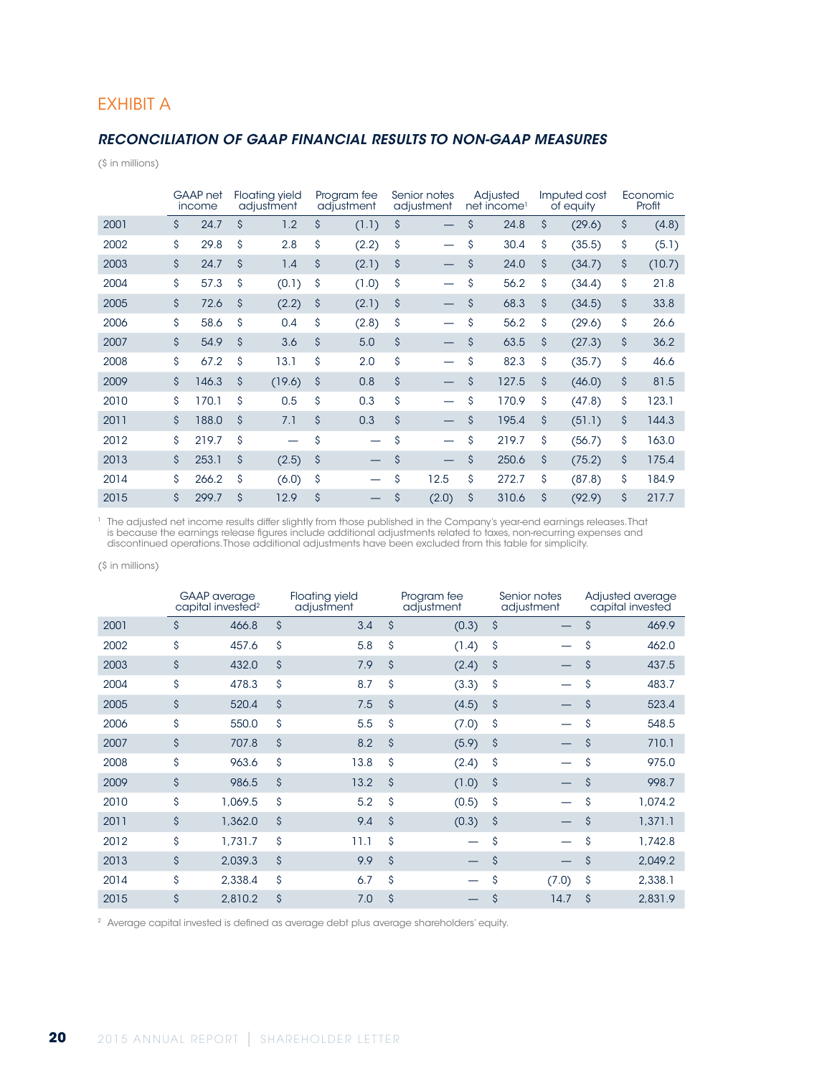### EXHIBIT A

### *RECONCILIATION OF GAAP FINANCIAL RESULTS TO NON-GAAP MEASURES*

(\$ in millions)

|      |    | GAAP net<br>income |                    | <b>Floating yield</b><br>adjustment |                    | Program fee<br>adjustment | Senior notes<br>adjustment     | Adjusted<br>net income <sup>1</sup> |    | Imputed cost<br>of equity | Economic<br>Profit |
|------|----|--------------------|--------------------|-------------------------------------|--------------------|---------------------------|--------------------------------|-------------------------------------|----|---------------------------|--------------------|
| 2001 | \$ | 24.7               | \$                 | 1.2                                 | \$                 | (1.1)                     | \$                             | \$<br>24.8                          | \$ | (29.6)                    | \$<br>(4.8)        |
| 2002 | \$ | 29.8               | \$                 | 2.8                                 | \$                 | (2.2)                     | \$                             | \$<br>30.4                          | \$ | (35.5)                    | \$<br>(5.1)        |
| 2003 | \$ | 24.7               | $\mathsf{\hat{S}}$ | 1.4                                 | \$                 | (2.1)                     | \$                             | \$<br>24.0                          | \$ | (34.7)                    | \$<br>(10.7)       |
| 2004 | \$ | 57.3               | \$                 | (0.1)                               | \$                 | (1.0)                     | \$<br>$\overline{\phantom{0}}$ | \$<br>56.2                          | \$ | (34.4)                    | \$<br>21.8         |
| 2005 | \$ | 72.6               | \$                 | (2.2)                               | \$                 | (2.1)                     | \$                             | \$<br>68.3                          | \$ | (34.5)                    | \$<br>33.8         |
| 2006 | \$ | 58.6               | \$                 | 0.4                                 | \$                 | (2.8)                     | \$                             | \$<br>56.2                          | Ś  | (29.6)                    | \$<br>26.6         |
| 2007 | \$ | 54.9               | \$                 | 3.6                                 | \$                 | 5.0                       | \$                             | \$<br>63.5                          | \$ | (27.3)                    | \$<br>36.2         |
| 2008 | \$ | 67.2               | \$                 | 13.1                                | \$                 | 2.0                       | \$                             | \$<br>82.3                          | Ś  | (35.7)                    | \$<br>46.6         |
| 2009 | \$ | 146.3              | \$                 | (19.6)                              | \$                 | 0.8                       | \$                             | \$<br>127.5                         | \$ | (46.0)                    | \$<br>81.5         |
| 2010 | \$ | 170.1              | \$                 | 0.5                                 | \$                 | 0.3                       | \$<br>-                        | \$<br>170.9                         | \$ | (47.8)                    | \$<br>123.1        |
| 2011 | \$ | 188.0              | \$                 | 7.1                                 | $\mathsf{\hat{S}}$ | 0.3                       | \$<br>$\overline{\phantom{0}}$ | \$<br>195.4                         | Ś  | (51.1)                    | \$<br>144.3        |
| 2012 | \$ | 219.7              | \$                 |                                     | \$                 |                           | \$                             | \$<br>219.7                         | \$ | (56.7)                    | \$<br>163.0        |
| 2013 | \$ | 253.1              | \$                 | (2.5)                               | \$                 |                           | \$                             | \$<br>250.6                         | \$ | (75.2)                    | \$<br>175.4        |
| 2014 | \$ | 266.2              | \$                 | (6.0)                               | \$                 |                           | \$<br>12.5                     | \$<br>272.7                         | \$ | (87.8)                    | \$<br>184.9        |
| 2015 | Ś  | 299.7              | \$                 | 12.9                                | \$                 |                           | \$<br>(2.0)                    | \$<br>310.6                         | Ś  | (92.9)                    | \$<br>217.7        |

<sup>1</sup> The adjusted net income results differ slightly from those published in the Company's year-end earnings releases. That is because the earnings release figures include additional adjustments related to taxes, non-recurring expenses and discontinued operations. Those additional adjustments have been excluded from this table for simplicity.

(\$ in millions)

|      | <b>GAAP</b> average<br>capital invested <sup>2</sup> | <b>Floating yield</b><br>adjustment |      |                    | Program fee<br>adjustment | Senior notes<br>adjustment |       | Adjusted average<br>capital invested |         |
|------|------------------------------------------------------|-------------------------------------|------|--------------------|---------------------------|----------------------------|-------|--------------------------------------|---------|
| 2001 | \$<br>466.8                                          | \$                                  | 3.4  | $\mathsf{\hat{S}}$ | (0.3)                     | \$                         |       | \$                                   | 469.9   |
| 2002 | \$<br>457.6                                          | \$                                  | 5.8  | \$                 | (1.4)                     | \$                         |       | \$                                   | 462.0   |
| 2003 | \$<br>432.0                                          | \$                                  | 7.9  | $\mathsf{\hat{S}}$ | (2.4)                     | \$                         |       | \$                                   | 437.5   |
| 2004 | \$<br>478.3                                          | \$                                  | 8.7  | \$                 | (3.3)                     | \$                         |       | \$                                   | 483.7   |
| 2005 | \$<br>520.4                                          | \$                                  | 7.5  | $\mathsf{\hat{S}}$ | (4.5)                     | \$                         |       | \$                                   | 523.4   |
| 2006 | \$<br>550.0                                          | \$                                  | 5.5  | \$                 | (7.0)                     | \$                         |       | \$                                   | 548.5   |
| 2007 | \$<br>707.8                                          | $\mathsf{\hat{S}}$                  | 8.2  | $\mathsf{\hat{S}}$ | (5.9)                     | \$                         |       | \$                                   | 710.1   |
| 2008 | \$<br>963.6                                          | \$                                  | 13.8 | \$                 | (2.4)                     | \$                         |       | \$                                   | 975.0   |
| 2009 | \$<br>986.5                                          | $\mathsf{\hat{S}}$                  | 13.2 | $\mathsf{\hat{S}}$ | (1.0)                     | \$                         |       | \$                                   | 998.7   |
| 2010 | \$<br>1,069.5                                        | \$                                  | 5.2  | \$                 | (0.5)                     | \$                         |       | \$                                   | 1,074.2 |
| 2011 | \$<br>1,362.0                                        | \$                                  | 9.4  | $\mathsf{\hat{S}}$ | (0.3)                     | \$                         |       | $\mathsf{S}$                         | 1,371.1 |
| 2012 | \$<br>1.731.7                                        | \$                                  | 11.1 | \$                 |                           | \$                         |       | \$                                   | 1,742.8 |
| 2013 | \$<br>2,039.3                                        | \$                                  | 9.9  | $\mathsf{\hat{S}}$ |                           | \$                         |       | \$                                   | 2,049.2 |
| 2014 | \$<br>2,338.4                                        | \$                                  | 6.7  | \$                 |                           | \$                         | (7.0) | \$                                   | 2,338.1 |
| 2015 | \$<br>2,810.2                                        | \$                                  | 7.0  | \$                 |                           | \$                         | 14.7  | \$                                   | 2,831.9 |

<sup>2</sup> Average capital invested is defined as average debt plus average shareholders' equity.